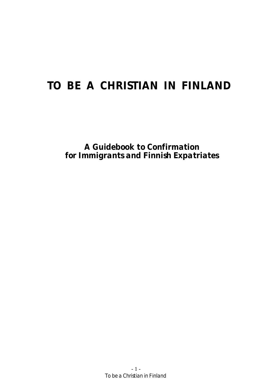# **TO BE A CHRISTIAN IN FINLAND**

**A Guidebook to Confirmation for Immigrants and Finnish Expatriates**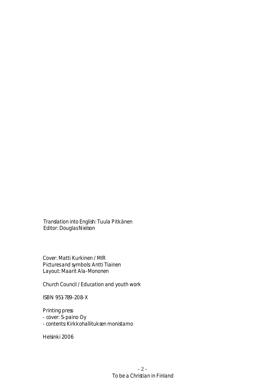Translation into English: Tuula Pitkänen Editor: Douglas Nielson

Cover: Matti Kurkinen / MIR Pictures and symbols: Antti Tiainen Layout: Maarit Ala-Mononen

Church Council / Education and youth work

ISBN 951-789-208-X

Printing press - cover: S-paino Oy - contents: Kirkkohallituksen monistamo

Helsinki 2006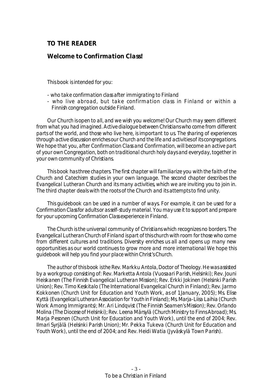# **TO THE READER**

# **Welcome to Confirmation Class!**

This book is intended for you:

- who take confirmation class after immigrating to Finland
- who live abroad, but take confirmation class in Finland or within a Finnish congregation outside Finland.

Our Church is open to all, and we wish you welcome! Our Church may seem different from what you had imagined. Active dialogue between Christians who come from different parts of the world, and those who live here, is important to us. The sharing of experiences through active discussion enriches our Church and the life and activities of its congregations. We hope that you, after Confirmation Class and Confirmation, will become an active part of your own Congregation, both on traditional church holy days and everyday, together in your own community of Christians.

This book has three chapters. The first chapter will familiarize you with the faith of the Church and Catechism studies in your own language. The second chapter describes the Evangelical Lutheran Church and its many activities, which we are inviting you to join in. The third chapter deals with the roots of the Church and its attempts to find unity.

This guidebook can be used in a number of ways. For example, it can be used for a Confirmation Class for adults or as self-study material. You may use it to support and prepare for your upcoming Confirmation Class experience in Finland.

The Church is the universal community of Christians which recognizes no borders. The Evangelical Lutheran Church of Finland is part of this church with room for those who come from different cultures and traditions. Diversity enriches us all and opens up many new opportunities as our world continues to grow more and more international We hope this guidebook will help you find your place within Christ's Church.

The author of this book is the Rev. Markku Antola, Doctor of Theology. He was assisted by a workgroup consisting of: Rev. Marketta Antola (Vuosaari Parish, Helsinki); Rev. Jouni Heiskanen (The Finnish Evangelical Lutheran Mission); Rev. Erkki Jokinen (Helsinki Parish Union); Rev. Timo Keskitalo (The International Evangelical Church in Finland); Rev. Jarmo Kokkonen (Church Unit for Education and Youth Work, as of 1 January, 2005); Ms. Elise Kyttä (Evangelical Lutheran Association for Youth in Finland); Ms. Marja-Liisa Laihia (Church Work Among Immigrants); Mr. Ari Lindqvist (The Finnish Seamen's Mission); Rev. Orlando Molina (The Diocese of Helsinki); Rev. Leena Märsylä (Church Ministry to Finns Abroad); Ms. Marja Pesonen (Church Unit for Education and Youth Work), until the end of 2004; Rev. Ilmari Syrjälä (Helsinki Parish Union); Mr. Pekka Tukeva (Church Unit for Education and Youth Work), until the end of 2004; and Rev. Heidi Watia (Jyväskylä Town Parish).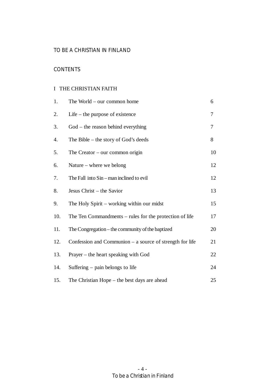# TO BE A CHRISTIAN IN FINLAND

# **CONTENTS**

# I THE CHRISTIAN FAITH

| 1.  | The World $-$ our common home                              | 6  |
|-----|------------------------------------------------------------|----|
| 2.  | Life $-$ the purpose of existence                          | 7  |
| 3.  | $God$ – the reason behind everything                       | 7  |
| 4.  | The Bible $-$ the story of God's deeds                     | 8  |
| 5.  | The Creator – our common origin                            | 10 |
| 6.  | Nature – where we belong                                   | 12 |
| 7.  | The Fall into Sin – man inclined to evil                   | 12 |
| 8.  | Jesus Christ – the Savior                                  | 13 |
| 9.  | The Holy Spirit – working within our midst                 | 15 |
| 10. | The Ten Commandments $-$ rules for the protection of life  | 17 |
| 11. | The Congregation – the community of the baptized           | 20 |
| 12. | Confession and Communion $-$ a source of strength for life | 21 |
| 13. | Prayer – the heart speaking with God                       | 22 |
| 14. | Suffering $-$ pain belongs to life                         | 24 |
| 15. | The Christian Hope $-$ the best days are ahead             | 25 |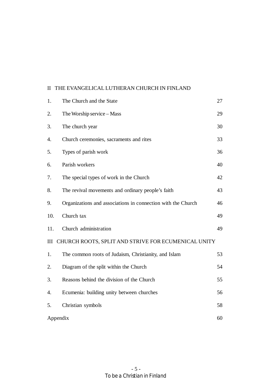# II THE EVANGELICAL LUTHERAN CHURCH IN FINLAND

| 1.                                                       | The Church and the State                                     | 27 |  |
|----------------------------------------------------------|--------------------------------------------------------------|----|--|
| 2.                                                       | The Worship service - Mass                                   | 29 |  |
| 3.                                                       | The church year                                              | 30 |  |
| 4.                                                       | Church ceremonies, sacraments and rites                      | 33 |  |
| 5.                                                       | Types of parish work                                         | 36 |  |
| 6.                                                       | Parish workers                                               | 40 |  |
| 7.                                                       | The special types of work in the Church                      | 42 |  |
| 8.                                                       | The revival movements and ordinary people's faith            | 43 |  |
| 9.                                                       | Organizations and associations in connection with the Church | 46 |  |
| 10.                                                      | Church tax                                                   | 49 |  |
| 11.                                                      | Church administration                                        | 49 |  |
| CHURCH ROOTS, SPLIT AND STRIVE FOR ECUMENICAL UNITY<br>Ш |                                                              |    |  |
| 1.                                                       | The common roots of Judaism, Christianity, and Islam         | 53 |  |
| 2.                                                       | Diagram of the split within the Church                       | 54 |  |
| 3.                                                       | Reasons behind the division of the Church                    | 55 |  |
| 4.                                                       | Ecumenia: building unity between churches                    | 56 |  |
| 5.                                                       | Christian symbols                                            | 58 |  |
| Appendix                                                 |                                                              |    |  |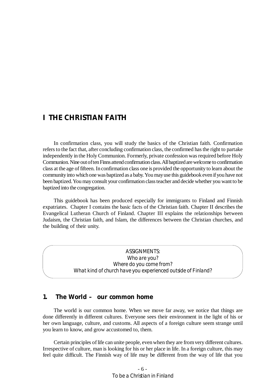# **I THE CHRISTIAN FAITH**

In confirmation class, you will study the basics of the Christian faith. Confirmation refers to the fact that, after concluding confirmation class, the confirmed has the right to partake independently in the Holy Communion. Formerly, private confession was required before Holy Communion. Nine out of ten Finns attend confirmation class. All baptized are welcome to confirmation class at the age of fifteen. In confirmation class one is provided the opportunity to learn about the community into which one was baptized as a baby. You may use this guidebook even if you have not been baptized. You may consult your confirmation class teacher and decide whether you want to be baptized into the congregation.

This guidebook has been produced especially for immigrants to Finland and Finnish expatriates. Chapter I contains the basic facts of the Christian faith. Chapter II describes the Evangelical Lutheran Church of Finland. Chapter III explains the relationships between Judaism, the Christian faith, and Islam, the differences between the Christian churches, and the building of their unity.

> ASSIGNMENTS: Who are you? Where do you come from? What kind of church have you experienced outside of Finland?

# **1. The World – our common home**

The world is our common home. When we move far away, we notice that things are done differently in different cultures. Everyone sees their environment in the light of his or her own language, culture, and customs. All aspects of a foreign culture seem strange until you learn to know, and grow accustomed to, them.

Certain principles of life can unite people, even when they are from very different cultures. Irrespective of culture, man is looking for his or her place in life. In a foreign culture, this may feel quite difficult. The Finnish way of life may be different from the way of life that you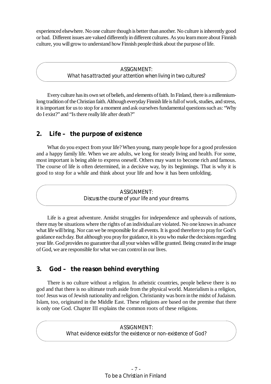experienced elsewhere. No one culture though is better than another. No culture is inherently good or bad. Different issues are valued differently in different cultures. As you learn more about Finnish culture, you will grow to understand how Finnish people think about the purpose of life.

> ASSIGNMENT: What has attracted your attention when living in two cultures?

Every culture has its own set of beliefs, and elements of faith. In Finland, there is a millenniumlong tradition of the Christian faith. Although everyday Finnish life is full of work, studies, and stress, it is important for us to stop for a moment and ask ourselves fundamental questions such as: "Why do I exist?" and "Is there really life after death?"

# **2. Life – the purpose of existence**

What do you expect from your life? When young, many people hope for a good profession and a happy family life. When we are adults, we long for steady living and health. For some, most important is being able to express oneself. Others may want to become rich and famous. The course of life is often determined, in a decisive way, by its beginnings. That is why it is good to stop for a while and think about your life and how it has been unfolding.

> ASSIGNMENT: Discuss the course of your life and your dreams.

Life is a great adventure. Amidst struggles for independence and upheavals of nations, there may be situations where the rights of an individual are violated. No one knows in advance what life will bring. Nor can we be responsible for all events. It is good therefore to pray for God's guidance each day. But although you pray for guidance, it is you who make the decisions regarding your life. God provides no guarantee that all your wishes will be granted. Being created in the image of God, we are responsible for what we can control in our lives.

# **3. God – the reason behind everything**

There is no culture without a religion. In atheistic countries, people believe there is no god and that there is no ultimate truth aside from the physical world. Materialism is a religion, too! Jesus was of Jewish nationality and religion. Christianity was born in the midst of Judaism. Islam, too, originated in the Middle East. These religions are based on the premise that there is only one God. Chapter III explains the common roots of these religions.

> ASSIGNMENT: What evidence exists for the existence or non-existence of God?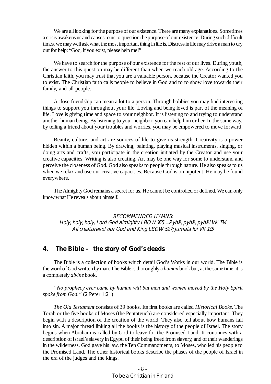We are all looking for the purpose of our existence. There are many explanations. Sometimes a crisis awakens us and causes to us to question the purpose of our existence. During such difficult times, we may well ask what the most important thing in life is. Distress in life may drive a man to cry out for help: "God, if you exist, please help me!"

We have to search for the purpose of our existence for the rest of our lives. During youth, the answer to this question may be different than when we reach old age. According to the Christian faith, you may trust that you are a valuable person, because the Creator wanted you to exist. The Christian faith calls people to believe in God and to to show love towards their family, and all people.

A close friendship can mean a lot to a person. Through hobbies you may find interesting things to support you throughout your life. Loving and being loved is part of the meaning of life. Love is giving time and space to your neighbor. It is listening to and trying to understand another human being. By listening to your neighbor, you can help him or her. In the same way, by telling a friend about your troubles and worries, you may be empowered to move forward.

Beauty, culture, and art are sources of life to give us strength. Creativity is a power hidden within a human being. By drawing, painting, playing musical instruments, singing, or doing arts and crafts, you participate in the creation initiated by the Creator and use your creative capacities. Writing is also creating. Art may be one way for some to understand and perceive the closeness of God. God also speaks to people through nature. He also speaks to us when we relax and use our creative capacities. Because God is omnipotent, He may be found everywhere.

The Almighty God remains a secret for us. He cannot be controlled or defined. We can only know what He reveals about himself.

RECOMMENDED HYMNS: Holy, holy, holy, Lord God almighty LBOW 165 = Pyhä, pyhä, pyhä! VK 134 All creatures of our God and King LBOW 527; Jumala loi VK 135

# **4. The Bible – the story of God's deeds**

The Bible is a collection of books which detail God's Works in our world. The Bible is the word of God written by man. The Bible is thoroughly a *human* book but, at the same time, it is a completely *divine* book.

*"No prophecy ever came by human will but men and women moved by the Holy Spirit spoke from God."*(2 Peter 1:21)

*The Old Testament* consists of 39 books. Its first books are called *Historical Books*. The Torah or the five books of Moses (the Pentateuch) are considered especially important. They begin with a description of the creation of the world. They also tell about how humans fall into sin. A major thread linking all the books is the history of the people of Israel. The story begins when Abraham is called by God to leave for the Promised Land. It continues with a description of Israel's slavery in Egypt, of their being freed from slavery, and of their wanderings in the wilderness. God gave his law, the Ten Commandments, to Moses, who led his people to the Promised Land. The other historical books describe the phases of the people of Israel in the era of the judges and the kings.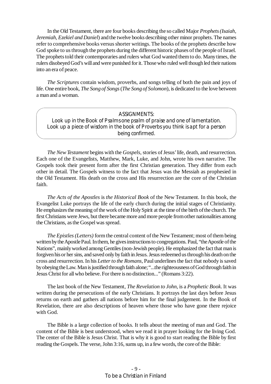In the Old Testament, there are four books describing the so called Major *Prophets (Isaiah, Jeremiah, Ezekiel and Daniel*) and the twelve books describing other minor prophets. The names refer to comprehensive books versus shorter writings. The books of the prophets describe how God spoke to us through the prophets during the different historic phases of the people of Israel. The prophets told their contemporaries and rulers what God wanted them to do. Many times, the rulers disobeyed God's will and were punished for it. Those who ruled well though led their nations into an era of peace.

*The Scriptures* contain wisdom, proverbs, and songs telling of both the pain and joys of life. One entire book, *The Song of Songs*(*The Song of Solomon*), is dedicated to the love between a man and a woman.

ASSIGNMENTS: Look up in the Book of Psalms one psalm of praise and one of lamentation. Look up a piece of wisdom in the book of Proverbs you think is apt for a person being confirmed.

*The New Testament* begins with the *Gospels*, stories of Jesus' life, death, and resurrection. Each one of the Evangelists, Matthew, Mark, Luke, and John, wrote his own narrative. The Gospels took their present form after the first Christian generation. They differ from each other in detail. The Gospels witness to the fact that Jesus was the Messiah as prophesied in the Old Testament. His death on the cross and His resurrection are the core of the Christian faith.

*The Acts of the Apostles* is *the Historical Book* of the New Testament. In this book, the Evangelist Luke portrays the life of the early church during the initial stages of Christianity. He emphasizes the meaning of the work of the Holy Spirit at the time of the birth of the church. The first Christians were Jews, but there became more and more people from other nationalities among the Christians, as the Gospel was spread.

*The Epistles (Letters)* form the central content of the New Testament; most of them being written by the Apostle Paul. In them, he gives instructions to congregations. Paul, "the Apostle of the Nations", mainly worked among Gentiles (non-Jewish people). He emphasized the fact that man is forgiven his or her sins, and saved only by faith in Jesus. Jesus redeemed us through his death on the cross and resurrection. In his *Letter to the Romans*, Paul underlines the fact that nobody is saved by obeying the Law. Man is justified through faith alone; "...the righteousness of God through faith in Jesus Christ for all who believe. For there is no distinction..." (Romans 3:22).

The last book of the New Testament, *The Revelation to John*, is a *Prophetic Book*. It was written during the persecutions of the early Christians. It portrays the last days before Jesus returns on earth and gathers all nations before him for the final judgement. In the Book of Revelation, there are also descriptions of heaven where those who have gone there rejoice with God.

The Bible is a large collection of books. It tells about the meeting of man and God. The content of the Bible is best understood, when we read it in prayer looking for the living God. The center of the Bible is Jesus Christ. That is why it is good to start reading the Bible by first reading the Gospels. The verse, John 3:16, sums up, in a few words, the core of the Bible: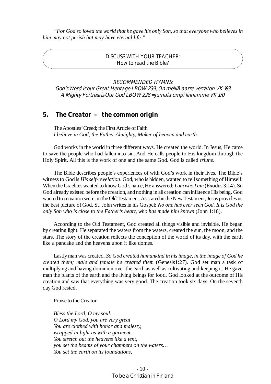*"For God so loved the world that he gave his only Son, so that everyone who believes in him may not perish but may have eternal life."*

#### DISCUSS WITH YOUR TEACHER: How to read the Bible?

RECOMMENDED HYMNS: God's Word is our Great Heritage LBOW 239; On meillä aarre verraton VK 183 A Mighty Fortress is Our God LBOW 228 = Jumala ompi linnamme VK 170

#### **5. The Creator – the common origin**

The Apostles' Creed; the First Article of Faith *I believe in God, the Father Almighty, Maker of heaven and earth.*

God works in the world in three different ways. He created the world. In Jesus, He came to save the people who had fallen into sin. And He calls people to His kingdom through the Holy Spirit. All this is the work of one and the same God. God is called *triune*.

The Bible describes people's experiences of with God's work in their lives. The Bible's witness to God is *His self-revelation*. God, who is hidden, wanted to tell something of Himself. When the Israelites wanted to know God's name, He answered: *I am who I am* (Exodus 3:14). So God already existed before the creation, and nothing in all creation can influence His being. God wanted to remain in secret in the Old Testament. As stated in the New Testament, Jesus provides us the best picture of God. St. John writes in his Gospel: *No one has ever seen God. It is God the only Son who is close to the Father's heart, who has made him known* (John 1:18).

According to the Old Testament, God created all things visible and invisible. He began by creating light. He separated the waters from the waters, created the sun, the moon, and the stars. The story of the creation reflects the conception of the world of its day, with the earth like a pancake and the heavens upon it like domes.

Lastly man was created. *So God created humankind in his image, in the image of God he created them; male and female he created them* (Genesis1:27). God set man a task of multiplying and having dominion over the earth as well as cultivating and keeping it. He gave man the plants of the earth and the living beings for food. God looked at the outcome of His creation and saw that everything was very good. The creation took six days. On the seventh day God rested.

Praise to the Creator

*Bless the Lord, O my soul. O Lord my God, you are very great You are clothed with honor and majesty, wrapped in light as with a garment. You stretch out the heavens like a tent, you set the beams of your chambers on the waters… You set the earth on its foundations,*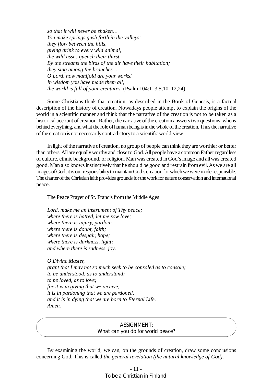*so that it will never be shaken… You make springs gush forth in the valleys; they flow between the hills, giving drink to every wild animal; the wild asses quench their thirst. By the streams the birds of the air have their habitation; they sing among the branches… O Lord, how manifold are your works! In wisdom you have made them all; the world is full of your creatures.* (Psalm 104:1–3,5,10–12,24)

Some Christians think that creation, as described in the Book of Genesis, is a factual description of the history of creation. Nowadays people attempt to explain the origins of the world in a scientific manner and think that the narrative of the creation is not to be taken as a historical account of creation. Rather, the narrative of the creation answers two questions, who is behind everything, and what the role of human being is in the whole of the creation. Thus the narrative of the creation is not necessarily contradictory to a scientific world-view.

In light of the narrative of creation, no group of people can think they are worthier or better than others. All are equally worthy and close to God. All people have a common Father regardless of culture, ethnic background, or religion. Man was created in God's image and all was created good. Man also knows instinctively that he should be good and restrain from evil. As we are all images of God, it is our responsibility to maintain God's creation for which we were made responsible. The charter of the Christian faith provides grounds for the work for nature conservation and international peace.

The Peace Prayer of St. Francis from the Middle Ages

*Lord, make me an instrument of Thy peace; where there is hatred, let me sow love; where there is injury, pardon; where there is doubt, faith; where there is despair, hope; where there is darkness, light; and where there is sadness, joy*.

*O Divine Master, grant that I may not so much seek to be consoled as to console; to be understood, as to understand; to be loved, as to love; for it is in giving that we receive, it is in pardoning that we are pardoned, and it is in dying that we are born to Eternal Life. Amen.*

#### ASSIGNMENT: What can you do for world peace?

By examining the world, we can, on the grounds of creation, draw some conclusions concerning God. This is called *the general revelation (the natural knowledge of God)*.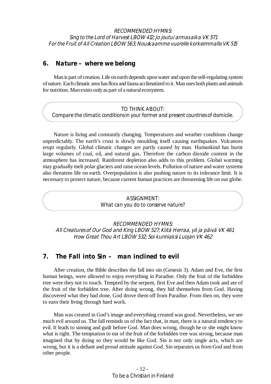RECOMMENDED HYMNS: Sing to the Lord of Harvest LBOW 412; Jo joutui armas aika VK 571 For the Fruit of All Creation LBOW 563; Nouskaamme vuorelle korkeimmalle VK 515

#### **6. Nature – where we belong**

Man is part of creation. Life on earth depends upon water and upon the self-regulating system of nature. Each climatic area has flora and fauna acclimatized to it. Man uses both plants and animals for nutrition. Man exists only as part of a natural ecosystem.

#### TO THINK ABOUT:

Compare the climatic conditions in your former and present countries of domicile.

Nature is living and constantly changing. Temperatures and weather conditions change unpredictably. The earth's crust is slowly moulding itself causing earthquakes. Volcanoes erupt regularly. Global climatic changes are partly caused by man. Humankind has burnt large volumes of coal, oil, and natural gas. Therefore the carbon dioxide content in the atmosphere has increased. Rainforest depletion also adds to this problem. Global warming may gradually melt polar glaciers and raise ocean levels. Pollution of nature and water systems also threatens life on earth. Overpopulation is also pushing nature to its tolerance limit. It is necessary to protect nature, because current human practices are threatening life on our globe.

> ASSIGNMENT: What can you do to conserve nature?

RECOMMENDED HYMNS: All Creatures of Our God and King LBOW 527; Kiitä Herraa, yö ja päivä VK 461 How Great Thou Art LBOW 532; Soi kunniaksi Luojan VK 462

# **7. The Fall into Sin – man inclined to evil**

After creation, the Bible describes the fall into sin (Genesis 3). Adam and Eve, the first human beings, were allowed to enjoy everything in Paradise. Only the fruit of the forbidden tree were they not to touch. Tempted by the serpent, first Eve and then Adam took and ate of the fruit of the forbidden tree. After doing wrong, they hid themselves from God. Having discovered what they had done, God drove them off from Paradise. From then on, they were to earn their living through hard work.

Man was created in God's image and everything created was good. Nevertheless, we see much evil around us. The fall reminds us of the fact that, in man, there is a natural tendency to evil. It leads to sinning and guilt before God. Man does wrong, though he or she might know what is right. The temptation to eat of the fruit of the forbidden tree was strong, because man imagined that by doing so they would be like God. Sin is not only single acts, which are wrong, but it is a defiant and proud attitude against God. Sin separates us from God and from other people.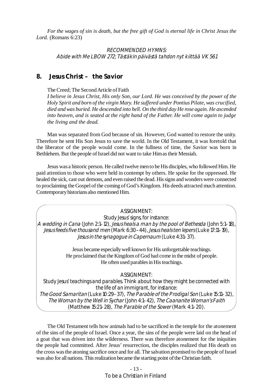*For the wages of sin is death, but the free gift of God is eternal life in Christ Jesus the Lord.* (Romans 6:23)

RECOMMENDED HYMNS: Abide with Me LBOW 272; Tästäkin päivästä tahdon nyt kiittää VK 561

#### **8. Jesus Christ – the Savior**

The Creed; The Second Article of Faith

*I believe in Jesus Christ, His only Son, our Lord. He was conceived by the power of the Holy Spirit and born of the virgin Mary. He suffered under Pontius Pilate, was crucified, died and was buried. He descended into hell. On the third day He rose again. He ascended into heaven, and is seated at the right hand of the Father. He will come again to judge the living and the dead.*

Man was separated from God because of sin. However, God wanted to restore the unity. Therefore he sent His Son Jesus to save the world. In the Old Testament, it was foretold that the liberator of the people would come. In the fullness of time, the Savior was born in Bethlehem. But the people of Israel did not want to take Him as their Messiah.

Jesus was a historic person. He called twelve men to be His disciples, who followed Him. He paid attention to those who were held in contempt by others. He spoke for the oppressed. He healed the sick, cast out demons, and even raised the dead. His signs and wonders were connected to proclaiming the Gospel of the coming of God's Kingdom. His deeds attracted much attention. Contemporary historians also mentioned Him.

ASSIGNMENT: Study Jesus' signs, for instance: A wedding in Cana (John 2:1–12), Jesus heals a man by the pool of Bethesda (John 5:1–18), Jesus feeds five thousand men (Mark 6:30–44), Jesus heals ten lepers (Luke 17:11–19), Jesus in the synagogue in Capernaum (Luke 4:31–37).

> Jesus became especially well known for His unforgettable teachings. He proclaimed that the Kingdom of God had come in the midst of people. He often used parables in His teachings.

> > ASSIGNMENT:

Study Jesus' teachings and parables. Think about how they might be connected with the life of an immigrant, for instance:

The Good Samaritan (Luke 10:29–37), The Parable of the Prodigal Son (Luke 15:11–32), The Woman by the Well in Sychar (John 4:1–42), The Caananite Woman's Faith (Matthew 15:21–28), The Parable of the Sower (Mark 4:1–20).

The Old Testament tells how animals had to be sacrificed in the temple for the atonement of the sins of the people of Israel. Once a year, the sins of the people were laid on the head of a goat that was driven into the wilderness. There was therefore atonement for the iniquities the people had committed. After Jesus' resurrection, the disciples realized that His death on the cross was the atoning sacrifice once and for all. The salvation promised to the people of Israel was also for all nations. This realization became the starting point of the Christian faith.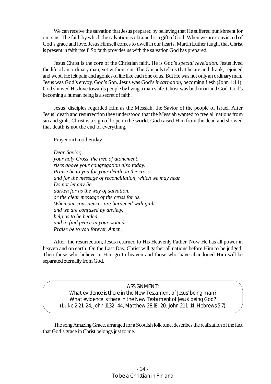We can receive the salvation that Jesus prepared by believing that He suffered punishment for our sins. The faith by which the salvation is obtained is a gift of God. When we are convinced of God's grace and love, Jesus Himself comes to dwell in our hearts. Martin Luther taught that Christ is present in faith itself. So faith provides us with the salvation God has prepared.

Jesus Christ is the core of the Christian faith. He is God's *special revelation*. Jesus lived the life of an ordinary man, yet without sin. The Gospels tell us that he ate and drank, rejoiced and wept. He felt pain and agonies of life like each one of us. But He was not only an ordinary man. Jesus was God's envoy, God's Son. Jesus was God's *incarnation*, becoming flesh (John 1:14). God showed His love towards people by living a man's life. Christ was both man and God. God's becoming a human being is a secret of faith.

Jesus' disciples regarded Him as the Messiah, the Savior of the people of Israel. After Jesus' death and resurrection they understood that the Messiah wanted to free all nations from sin and guilt. Christ is a sign of hope in the world. God raised Him from the dead and showed that death is not the end of everything.

Prayer on Good Friday

*Dear Savior, your holy Cross, the tree of atonement, rises above your congregation also today. Praise be to you for your death on the cross and for the message of reconciliation, which we may hear. Do not let any lie darken for us the way of salvation, or the clear message of the cross for us. When our consciences are burdened with guilt and we are confused by anxiety, help us to be healed and to find peace in your wounds. Praise be to you forever. Amen.*

After the resurrection, Jesus returned to His Heavenly Father. Now He has all power in heaven and on earth. On the Last Day, Christ will gather all nations before Him to be judged. Then those who believe in Him go to heaven and those who have abandoned Him will be separated eternally from God.

ASSIGNMENT:

What evidence is there in the New Testament of Jesus' being man? What evidence is there in the New Testament of Jesus' being God? (Luke 2:21–24, John 11:32–44, Matthew 28:18–20, John 21:1–14, Hebrews 5:7)

The song Amazing Grace, arranged for a Scottish folk tune, describes the realization of the fact that God's grace in Christ belongs just to me.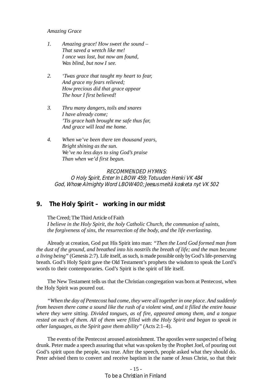#### *Amazing Grace*

- *1. Amazing grace! How sweet the sound – That saved a wretch like me! I once was lost, but now am found, Was blind, but now I see.*
- *2. 'Twas grace that taught my heart to fear, And grace my fears relieved; How precious did that grace appear The hour I first believed!*
- *3. Thru many dangers, toils and snares I have already come; 'Tis grace hath brought me safe thus far, And grace will lead me home.*
- *4. When we've been there ten thousand years, Bright shining as the sun. We've no less days to sing God's praise Than when we'd first begun.*

#### RECOMMENDED HYMNS: O Holy Spirit, Enter In LBOW 459; Totuuden Henki VK 484 God, Whose Almighty Word LBOW400; Jeesus meitä kosketa nyt VK 502

# **9. The Holy Spirit – working in our midst**

The Creed; The Third Article of Faith *I believe in the Holy Spirit, the holy Catholic Church, the communion of saints, the forgiveness of sins, the resurrection of the body, and the life everlasting.*

Already at creation, God put His Spirit into man: *"Then the Lord God formed man from the dust of the ground, and breathed into his nostrils the breath of life; and the man became a living being"*(Genesis 2:7). Life itself, as such, is made possible only by God's life-preserving breath. God's Holy Spirit gave the Old Testament's prophets the wisdom to speak the Lord's words to their contemporaries. God's Spirit is the spirit of life itself.

The New Testament tells us that the Christian congregation was born at Pentecost, when the Holy Spirit was poured out.

*"When the day of Pentecost had come, they were all together in one place. And suddenly from heaven there came a sound like the rush of a violent wind, and it filled the entire house where they were sitting. Divided tongues, as of fire, appeared among them, and a tongue rested on each of them. All of them were filled with the Holy Spirit and began to speak in other languages, as the Spirit gave them ability"*(Acts 2:1–4).

The events of the Pentecost aroused astonishment. The apostles were suspected of being drunk. Peter made a speech assuring that what was spoken by the Prophet Joel, of pouring out God's spirit upon the people, was true. After the speech, people asked what they should do. Peter advised them to convert and receive baptism in the name of Jesus Christ, so that their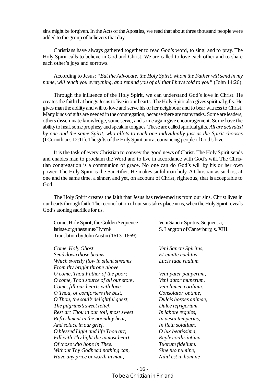sins might be forgiven. In the Acts of the Apostles, we read that about three thousand people were added to the group of believers that day.

Christians have always gathered together to read God's word, to sing, and to pray. The Holy Spirit calls to believe in God and Christ. We are called to love each other and to share each other's joys and sorrows.

According to Jesus: *"But the Advocate, the Holy Spirit, whom the Father will send in my name, will teach you everything, and remind you of all that I have told to you"*(John 14:26).

Through the influence of the Holy Spirit, we can understand God's love in Christ. He creates the faith that brings Jesus to live in our hearts. The Holy Spirit also gives spiritual gifts. He gives man the ability and will to love and serve his or her neighbour and to bear witness to Christ. Many kinds of gifts are needed in the congregation, because there are many tasks. Some are leaders, others disseminate knowledge, some serve, and some again give encouragement. Some have the ability to heal, some prophesy and speak in tongues. These are called spiritual gifts. *All are activated by one and the same Spirit, who allots to each one individually just as the Spirit chooses* (I Corinthians 12:11). The gifts of the Holy Spirit aim at convincing people of God's love.

It is the task of every Christian to convey the good news of Christ. The Holy Spirit sends and enables man to proclaim the Word and to live in accordance with God's will. The Christian congregation is a communion of grace. No one can do God's will by his or her own power. The Holy Spirit is the Sanctifier. He makes sinful man holy. A Christian as such is, at one and the same time, a sinner, and yet, on account of Christ, righteous, that is acceptable to God.

The Holy Spirit creates the faith that Jesus has redeemed us from our sins. Christ lives in our hearts through faith. The reconciliation of our sins takes place in us, when the Holy Spirit reveals God's atoning sacrifice for us.

Come, Holy Spirit, the Golden Sequence Veni Sancte Spritus. Sequentia, latinae.org/thesaurus/Hymni/ S. Langton of Canterbury, s. XIII. Translation by John Austin (1613–1669)

*Come, Holy Ghost, Veni Sancte Spiritus, Send down those beams, Et emitte caelitus Which sweetly flow in silent streams Lucis tuae radium From thy bright throne above. O come, Thou Father of the poor; Veni pater pauperum, O come, Thou source of all our store, Veni dator munerum, Come, fill our hearts with love. Veni lumen cordium. O Thou, of comforters the best, Consolator optime, O Thou, the soul's delightful guest, Dulcis hospes animae, The pilgrims's sweet relief. Dulce refrigerium. Rest art Thou in our toil, most sweet In labore requies, Refreshment in the noonday heat; In aestu temperies, And solace in our grief. In fletu solatium. O blessed Light and life Thou art; O lux beatissima, Fill with Thy light the inmost heart* Reple cordis *intima Of those who hope in Thee. Tuorum fidelium. Without Thy Godhead nothing can, Sine tuo numine, Have any price or worth in man,* Nihil est in homine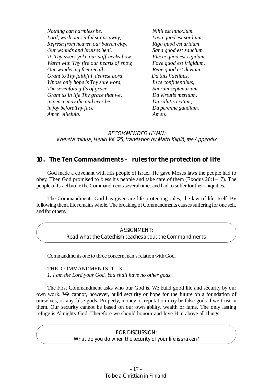*Nothing can harmless be. Nihil est innoxium. Lord, wash our sinful stains away, Lava quod est sordium, Refresh from heaven our barren clay, Riga quod est aridum, Our wounds and bruises heal. Sana quod est saucium. To Thy sweet yoke our stiff necks bow, Flecte quod est rigidum, Warm with Thy fire our hearts of snow, Fove quod est frigidum, Our wandering feet recall. Rege quod est devium. Grant to Thy faithful, dearest Lord, Da tuis fidelibus, Whose only hope is Thy sure word, In te confidentibus, The sevenfold gifts of grace. Sacrum septenarium. Grant us in life Thy grace that we, Da virtutis meritum, in peace may die and ever be, Da salutis exitum, in joy before Thy face. Da perenne gaudium. Amen. Alleluia. Amen.*

#### RECOMMENDED HYMN: Kosketa minua, Henki VK 125; translation by Matti Kilpiö, see Appendix

# **10. The Ten Commandments – rules for the protection of life**

God made a covenant with His people of Israel. He gave Moses laws the people had to obey. Then God promised to bless his people and take care of them (Exodus 20:1–17). The people of Israel broke the Commandments several times and had to suffer for their iniquities.

The Commandments God has given are life-protecting rules, the law of life itself. By following them, life remains whole. The breaking of Commandments causes suffering for one self, and for others.

> ASSIGNMENT: Read what the Catechism teaches about the Commandments.

Commandments one to three concern man's relation with God.

THE COMMANDMENTS  $1 - 3$ *1. I am the Lord your God. You shall have no other gods.*

The First Commandment asks who our God is. We build good life and security by our own work. We cannot, however, build security or hope for the future on a foundation of ourselves, or any false gods. Property, money or reputation may be false gods if we trust in them. Our security cannot be based on our own ability, wealth or fame. The only lasting refuge is Almighty God. Therefore we should honour and love Him above all things.

> FOR DISCUSSION: What do you do when the security of your life is shaken?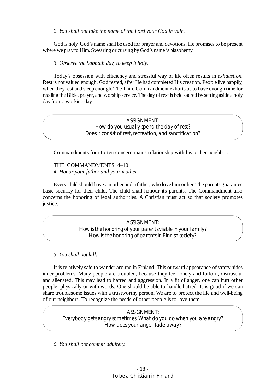*2. You shall not take the name of the Lord your God in vain.*

God is holy. God's name shall be used for prayer and devotions. He promises to be present where we pray to Him. Swearing or cursing by God's name is blasphemy.

*3. Observe the Sabbath day, to keep it holy.*

Today's obsession with efficiency and stressful way of life often results in *exhaustion.* Rest is not valued enough. God rested, after He had completed His creation. People live happily, when they rest and sleep enough. The Third Commandment exhorts us to have enough time for reading the Bible, prayer, and worship service. The day of rest is held sacred by setting aside a holy day from a working day.

> ASSIGNMENT: How do you usually spend the day of rest? Does it consist of rest, recreation, and sanctification?

Commandments four to ten concern man's relationship with his or her neighbor.

THE COMMANDMENTS 4–10: *4. Honor your father and your mother.*

Every child should have a mother and a father, who love him or her. The parents guarantee basic security for their child. The child shall honour its parents. The Commandment also concerns the honoring of legal authorities. A Christian must act so that society promotes justice.

> ASSIGNMENT: How is the honoring of your parents visible in your family? How is the honoring of parents in Finnish society?

*5. You shall not kill.*

It is relatively safe to wander around in Finland. This outward appearance of safety hides inner problems. Many people are troubled, because they feel lonely and forlorn, distrustful and alienated. This may lead to hatred and aggression. In a fit of anger, one can hurt other people, physically or with words. One should be able to handle hatred. It is good if we can share troublesome issues with a trustworthy person. We are to protect the life and well-being of our neighbors. To recognize the needs of other people is to love them.

ASSIGNMENT: Everybody gets angry sometimes. What do you do when you are angry? How does your anger fade away?

*6. You shall not commit adultery.*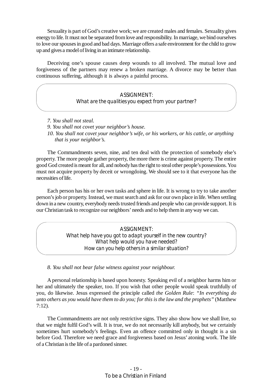Sexuality is part of God's creative work; we are created males and females. Sexuality gives energy to life. It must not be separated from love and responsibility. In marriage, we bind ourselves to love our spouses in good and bad days. Marriage offers a safe environment for the child to grow up and gives a model of living in an intimate relationship.

Deceiving one's spouse causes deep wounds to all involved. The mutual love and forgiveness of the partners may renew a broken marriage. A divorce may be better than continuous suffering, although it is always a painful process.

# ASSIGNMENT: What are the qualities you expect from your partner?

- *7. You shall not steal.*
- *9. You shall not covet your neighbor's house.*
- *10. You shall not covet your neighbor's wife, or his workers, or his cattle, or anything that is your neighbor's.*

The Commandments seven, nine, and ten deal with the protection of somebody else's property. The more people gather property, the more there is crime against property. The entire good God created is meant for all, and nobody has the right to steal other people's possessions. You must not acquire property by deceit or wrongdoing. We should see to it that everyone has the necessities of life.

Each person has his or her own tasks and sphere in life. It is wrong to try to take another person's job or property. Instead, we must search and ask for our own place in life. When settling down in a new country, everybody needs trusted friends and people who can provide support. It is our Christian task to recognize our neighbors' needs and to help them in any way we can.

> ASSIGNMENT: What help have you got to adapt yourself in the new country? What help would you have needed? How can you help others in a similar situation?

*8. You shall not bear false witness against your neighbour.*

A personal relationship is based upon honesty. Speaking evil of a neighbor harms him or her and ultimately the speaker, too. If you wish that other people would speak truthfully of you, do likewise. Jesus expressed the principle called *the Golden Rule*: *"In everything do unto others as you would have them to do you; for this is the law and the prophets"*(Matthew 7:12).

The Commandments are not only restrictive signs. They also show how we shall live, so that we might fulfil God's will. It is true, we do not necessarily kill anybody, but we certainly sometimes hurt somebody's feelings. Even an offence committed only in thought is a sin before God. Therefore we need grace and forgiveness based on Jesus' atoning work. The life of a Christian is the life of a pardoned sinner.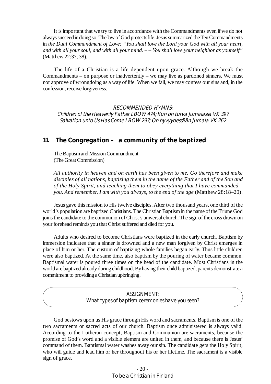It is important that we try to live in accordance with the Commandments even if we do not always succeed in doing so. The law of God protects life. Jesus summarized the Ten Commandments in *the Dual Commandment of Love: "You shall love the Lord your God with all your heart, and with all your soul, and with all your mind. – – You shall love your neighbor as yourself"* (Matthew 22:37, 38).

The life of a Christian is a life dependent upon grace. Although we break the Commandments – on purpose or inadvertently – we may live as pardoned sinners. We must not approve of wrongdoing as a way of life. When we fall, we may confess our sins and, in the confession, receive forgiveness.

#### RECOMMENDED HYMNS:

Children of the Heavenly Father LBOW 474; Kun on turva Jumalassa VK 397 Salvation unto Us Has Come LBOW 297; On hyvyydessään Jumala VK 262

### **11. The Congregation – a community of the baptized**

The Baptism and Mission Commandment (The Great Commission)

*All authority in heaven and on earth has been given to me. Go therefore and make disciples of all nations, baptizing them in the name of the Father and of the Son and of the Holy Spirit, and teaching them to obey everything that I have commanded you. And remember, I am with you always, to the end of the age* (Matthew 28:18–20).

Jesus gave this mission to His twelve disciples. After two thousand years, one third of the world's population are baptized Christians. The Christian Baptism in the name of the Triune God joins the candidate to the communion of Christ's universal church. The sign of the cross drawn on your forehead reminds you that Christ suffered and died for you.

Adults who desired to become Christians were baptized in the early church. Baptism by immersion indicates that a sinner is drowned and a new man forgiven by Christ emerges in place of him or her. The custom of baptizing whole families began early. Thus little children were also baptized. At the same time, also baptism by the pouring of water became common. Baptismal water is poured three times on the head of the candidate. Most Christians in the world are baptized already during childhood. By having their child baptized, parents demonstrate a commitment to providing a Christian upbringing.

#### ASSIGNMENT: What types of baptism ceremonies have you seen?

God bestows upon us His grace through His word and sacraments. Baptism is one of the two sacraments or sacred acts of our church. Baptism once administered is always valid. According to the Lutheran concept, Baptism and Communion are sacraments, because the promise of God's word and a visible element are united in them, and because there is Jesus' command of them. Baptismal water washes away our sin. The candidate gets the Holy Spirit, who will guide and lead him or her throughout his or her lifetime. The sacrament is a visible sign of grace.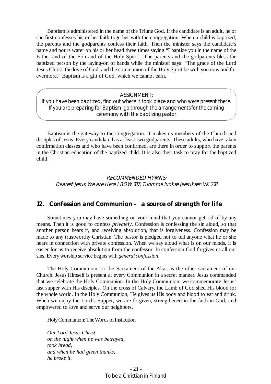Baptism is administered in the name of the Triune God. If the candidate is an adult, he or she first confesses his or her faith together with the congregation. When a child is baptized, the parents and the godparents confess their faith. Then the minister says the candidate's name and pours water on his or her head three times saying "I baptize you in the name of the Father and of the Son and of the Holy Spirit". The parents and the godparents bless the baptized person by the laying-on of hands while the minister says: "The grace of the Lord Jesus Christ, the love of God, and the communion of the Holy Spirit be with you now and for evermore." Baptism is a gift of God, which we cannot earn.

#### ASSIGNMENT:

If you have been baptized, find out where it took place and who were present there. If you are preparing for Baptism, go through the arrangements for the coming ceremony with the baptizing pastor.

Baptism is the gateway to the congregation. It makes us members of the Church and disciples of Jesus. Every candidate has at least two godparents. These adults, who have taken confirmation classes and who have been confirmed, are there in order to support the parents in the Christian education of the baptized child. It is also their task to pray for the baptized child.

RECOMMENDED HYMNS: Dearest Jesus, We are Here LBOW 187; Tuomme luokse Jeesuksen VK 218

#### **12. Confession and Communion – a source of strength for life**

Sometimes you may have something on your mind that you cannot get rid of by any means. Then it is good to confess *privately*. Confession is confessing the sin aloud, so that another person hears it, and receiving absolution, that is forgiveness. Confession may be made to any trustworthy Christian. The pastor is pledged not to tell anyone what he or she hears in connection with private confession. When we say aloud what is on our minds, it is easier for us to receive absolution from the confessor. In confession God forgives us all our sins. Every worship service begins with *general confession*.

The Holy Communion, or the Sacrament of the Altar, is the other sacrament of our Church. Jesus Himself is present at every Communion in a secret manner. Jesus commanded that we celebrate the Holy Communion. In the Holy Communion, we commemorate Jesus' last supper with His disciples. On the cross of Calvary, the Lamb of God shed His blood for the whole world. In the Holy Communion, He gives us His body and blood to eat and drink. When we enjoy the Lord's Supper, we are forgiven, strengthened in the faith in God, and empowered to love and serve our neighbors.

Holy Communion: The Words of Institution

*Our Lord Jesus Christ, on the night when he was betrayed, took bread, and when he had given thanks, he broke it,*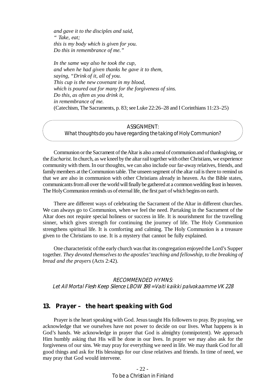*and gave it to the disciples and said, " Take, eat; this is my body which is given for you. Do this in remembrance of me."*

*In the same way also he took the cup, and when he had given thanks he gave it to them, saying, "Drink of it, all of you. This cup is the new covenant in my blood, which is poured out for many for the forgiveness of sins. Do this, as often as you drink it, in remembrance of me.* (Catechism, The Sacraments, p. 83; see Luke 22:26–28 and I Corinthians 11:23–25)

#### ASSIGNMENT:

What thoughts do you have regarding the taking of Holy Communion?

Communion or the Sacrament of the Altar is also a meal of communion and of thanksgiving, or the *Eucharist.* In church, as we kneel by the altar rail together with other Christians, we experience community with them. In our thoughts, we can also include our far-away relatives, friends, and family members at the Communion table. The unseen segment of the altar rail is there to remind us that we are also in communion with other Christians already in heaven. As the Bible states, communicants from all over the world will finally be gathered at a common wedding feast in heaven. The Holy Communion reminds us of eternal life, the first part of which begins on earth.

There are different ways of celebrating the Sacrament of the Altar in different churches. We can always go to Communion, when we feel the need. Partaking in the Sacrament of the Altar does not require special holiness or success in life. It is nourishment for the travelling sinner, which gives strength for continuing the journey of life. The Holy Communion strengthens spiritual life. It is comforting and calming. The Holy Communion is a treasure given to the Christians to use. It is a mystery that cannot be fully explained.

One characteristic of the early church was that its congregation enjoyed the Lord's Supper together. *They devoted themselves to the apostles' teaching and fellowship, to the breaking of bread and the prayers* (Acts 2:42).

#### RECOMMENDED HYMNS: Let All Mortal Flesh Keep Silence LBOW 198 = Vaiti kaikki palvokaamme VK 228

# **13. Prayer – the heart speaking with God**

Prayer is the heart speaking with God. Jesus taught His followers to pray. By praying, we acknowledge that we ourselves have not power to decide on our lives. What happens is in God's hands. We acknowledge in prayer that God is almighty (omnipotent). We approach Him humbly asking that His will be done in our lives. In prayer we may also ask for the forgiveness of our sins. We may pray for everything we need in life. We may thank God for all good things and ask for His blessings for our close relatives and friends. In time of need, we may pray that God would intervene.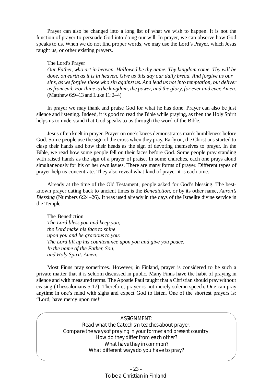Prayer can also be changed into a long list of what we wish to happen. It is not the function of prayer to persuade God into doing our will. In prayer, we can observe how God speaks to us. When we do not find proper words, we may use the Lord's Prayer, which Jesus taught us, or other existing prayers.

#### The Lord's Prayer

*Our Father, who art in heaven. Hallowed be thy name. Thy kingdom come. Thy will be done, on earth as it is in heaven. Give us this day our daily bread. And forgive us our sins, as we forgive those who sin against us. And lead us not into temptation, but deliver us from evil. For thine is the kingdom, the power, and the glory, for ever and ever. Amen.* (Matthew 6:9–13 and Luke 11:2–4)

In prayer we may thank and praise God for what he has done. Prayer can also be just silence and listening. Indeed, it is good to read the Bible while praying, as then the Holy Spirit helps us to understand that God speaks to us through the word of the Bible.

Jesus often knelt in prayer. Prayer on one's knees demonstrates man's humbleness before God. Some people use the sign of the cross when they pray. Early on, the Christians started to clasp their hands and bow their heads as the sign of devoting themselves to prayer. In the Bible, we read how some people fell on their faces before God. Some people pray standing with raised hands as the sign of a prayer of praise. In some churches, each one prays aloud simultaneously for his or her own issues. There are many forms of prayer. Different types of prayer help us concentrate. They also reveal what kind of prayer it is each time.

Already at the time of the Old Testament, people asked for God's blessing. The bestknown prayer dating back to ancient times is the *Benediction*, or by its other name, *Aaron's Blessing* (Numbers 6:24–26). It was used already in the days of the Israelite divine service in the Temple.

The Benediction *The Lord bless you and keep you; the Lord make his face to shine upon you and be gracious to you: The Lord lift up his countenance upon you and give you peace. In the name of the Father, Son, and Holy Spirit. Amen.*

Most Finns pray sometimes. However, in Finland, prayer is considered to be such a private matter that it is seldom discussed in public. Many Finns have the habit of praying in silence and with measured terms. The Apostle Paul taught that a Christian should pray without ceasing (Thessalonians 5:17). Therefore, prayer is not merely solemn speech. One can pray anytime in one's mind with sighs and expect God to listen. One of the shortest prayers is: "Lord, have mercy upon me!"

> ASSIGNMENT: Read what the Catechism teaches about prayer. Compare the ways of praying in your former and present country. How do they differ from each other? What have they in common? What different ways do you have to pray?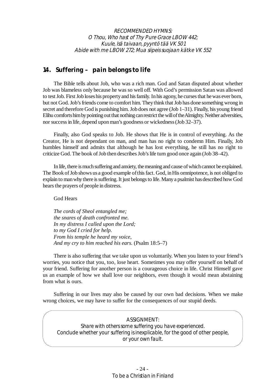# **14. Suffering – pain belongs to life**

The Bible tells about Job, who was a rich man. God and Satan disputed about whether Job was blameless only because he was so well off. With God's permission Satan was allowed to test Job. First Job loses his property and his family. In his agony, he curses that he was ever born, but not God. Job's friends come to comfort him. They think that Job has done something wrong in secret and therefore God is punishing him. Job does not agree (Job 1–31). Finally, his young friend Elihu comforts him by pointing out that nothing can restrict the will of the Almighty. Neither adversities, nor success in life, depend upon man's goodness or wickedness (Job 32–37).

Finally, also God speaks to Job. He shows that He is in control of everything. As the Creator, He is not dependant on man, and man has no right to condemn Him. Finally, Job humbles himself and admits that although he has lost everything, he still has no right to criticize God. The book of Job then describes Job's life turn good once again (Job 38–42).

In life, there is much suffering and anxiety, the meaning and cause of which cannot be explained. The Book of Job shows us a good example of this fact. God, in His omnipotence, is not obliged to explain to man why there is suffering. It just belongs to life. Many a psalmist has described how God hears the prayers of people in distress.

God Hears

*The cords of Sheol entangled me; the snares of death confronted me. In my distress I called upon the Lord; to my God I cried for help. From his temple he heard my voice, And my cry to him reached his ears*. (Psalm 18:5–7)

There is also suffering that we take upon us voluntarily. When you listen to your friend's worries, you notice that you, too, lose heart. Sometimes you may offer yourself on behalf of your friend. Suffering for another person is a courageous choice in life. Christ Himself gave us an example of how we shall love our neighbors, even though it would mean abstaining from what is ours.

Suffering in our lives may also be caused by our own bad decisions. When we make wrong choices, we may have to suffer for the consequences of our stupid deeds.

ASSIGNMENT: Share with others some suffering you have experienced. Conclude whether your suffering is inexplicable, for the good of other people, or your own fault.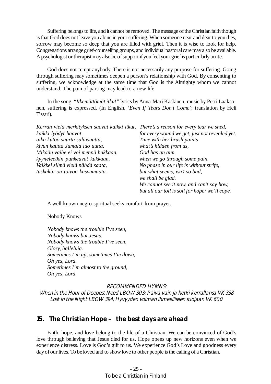Suffering belongs to life, and it cannot be removed. The message of the Christian faith though is that God does not leave you alone in your suffering. When someone near and dear to you dies, sorrow may become so deep that you are filled with grief. Then it is wise to look for help. Congregations arrange grief-counselling groups, and individual pastoral care may also be available. A psychologist or therapist may also be of support if you feel your grief is particularly acute.

God does not tempt anybody. There is not necessarily any purpose for suffering. Going through suffering may sometimes deepen a person's relationship with God. By consenting to suffering, we acknowledge at the same time that God is the Almighty whom we cannot understand. The pain of parting may lead to a new life.

In the song, "*Itkemättömät itkut"* lyrics by Anna-Mari Kaskinen, music by Petri Laaksonen, suffering is expressed. (In English, '*Even If Tears Don't Come'*; translation by Heli Tissari).

| Kerran vielä merkityksen saavat kaikki itkut, There's a reason for every tear we shed, |                                                |
|----------------------------------------------------------------------------------------|------------------------------------------------|
| kaikki lyödyt haavat.                                                                  | for every wound we get, just not revealed yet. |
| aika kutoo suurta salaisuutta,                                                         | Time with her brush paints                     |
| kivun kautta Jumala luo uutta.                                                         | what's hidden from us,                         |
| Mikään vaihe ei voi mennä hukkaan,                                                     | God has an aim                                 |
| kyyneleetkin puhkeavat kukkaan.                                                        | when we go through some pain.                  |
| Vaikkei silmä vielä nähdä saata,                                                       | No phase in our life is without strife,        |
| tuskakin on toivon kasvumaata.                                                         | but what seems, isn't so bad,                  |
|                                                                                        | we shall be glad.                              |
|                                                                                        | We cannot see it now, and can't say how,       |

*but all our toil is soil for hope: we'll cope.*

A well-known negro spiritual seeks comfort from prayer.

Nobody Knows

*Nobody knows the trouble I've seen, Nobody knows but Jesus. Nobody knows the trouble I've seen, Glory, halleluja. Sometimes I'm up, sometimes I'm down, Oh yes, Lord. Sometimes I'm almost to the ground, Oh yes, Lord.*

#### RECOMMENDED HYMNS:

When in the Hour of Deepest Need LBOW 303; Päivä vain ja hetki kerrallansa VK 338 Lost in the Night LBOW 394; Hyvyyden voiman ihmeelliseen suojaan VK 600

# **15. The Christian Hope – the best days are ahead**

Faith, hope, and love belong to the life of a Christian. We can be convinced of God's love through believing that Jesus died for us. Hope opens up new horizons even when we experience distress. Love is God's gift to us. We experience God's Love and goodness every day of our lives. To be loved and to show love to other people is the calling of a Christian.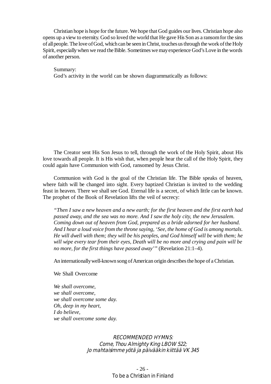Christian hope is hope for the future. We hope that God guides our lives. Christian hope also opens up a view to eternity. God so loved the world that He gave His Son as a ransom for the sins of all people. The love of God, which can be seen in Christ, touches us through the work of the Holy Spirit, especially when we read the Bible. Sometimes we may experience God's Love in the words of another person.

Summary:

God's activity in the world can be shown diagrammatically as follows:

The Creator sent His Son Jesus to tell, through the work of the Holy Spirit, about His love towards all people. It is His wish that, when people hear the call of the Holy Spirit, they could again have Communion with God, ransomed by Jesus Christ.

Communion with God is the goal of the Christian life. The Bible speaks of heaven, where faith will be changed into sight. Every baptized Christian is invited to the wedding feast in heaven. There we shall see God. Eternal life is a secret, of which little can be known. The prophet of the Book of Revelation lifts the veil of secrecy:

*"Then I saw a new heaven and a new earth; for the first heaven and the first earth had passed away, and the sea was no more. And I saw the holy city, the new Jerusalem. Coming down out of heaven from God, prepared as a bride adorned for her husband. And I hear a loud voice from the throne saying, 'See, the home of God is among mortals. He will dwell with them; they will be his peoples, and God himself will be with them; he will wipe every tear from their eyes, Death will be no more and crying and pain will be no more, for the first things have passed away'"* (Revelation 21:1–4).

An internationally well-known song of American origin describes the hope of a Christian.

We Shall Overcome

*We shall overcome, we shall overcome, we shall overcome some day. Oh, deep in my heart, I do believe, we shall overcome some day.*

> RECOMMENDED HYMNS: Come, Thou Almighty King LBOW 522; Jo mahtaisimme yötä ja päivääkin kiittää VK 345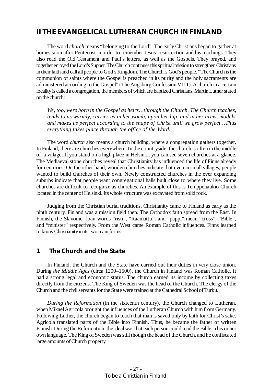# **II THE EVANGELICAL LUTHERAN CHURCH IN FINLAND**

The word *church* means **"**belonging to the Lord". The early Christians began to gather at homes soon after Pentecost in order to remember Jesus' resurrection and his teachings. They also read the Old Testament and Paul's letters, as well as the Gospels. They prayed, and together enjoyed the Lord's Supper. The Church continues this spiritual mission to strengthen Christians in their faith and call all people to God's Kingdom. The Church is God's people. "The Church is the communion of saints where the Gospel is preached in its purity and the holy sacraments are administered according to the Gospel" (The Augsburg Confession VII 1). A church in a certain locality is called a congregation, the members of which are baptized Christians. Martin Luther stated on the church:

*We, too, were born in the Gospel as heirs…through the Church. The Church teaches, tends to us warmly, carries us in her womb, upon her lap, and in her arms, models and makes us perfect according to the shape of Christ until we grow perfect…Thus everything takes place through the office of the Word.*

The word *church* also means a church building, where a congregation gathers together. In Finland, there are churches everywhere. In the countryside, the church is often in the middle of a village. If you stand on a high place in Helsinki, you can see seven churches at a glance. The Mediaeval stone churches reveal that Christianity has influenced the life of Finns already for centuries. On the other hand, wooden churches indicate that even in small villages, people wanted to build churches of their own. Newly constructed churches in the ever expanding suburbs indicate that people want congregational halls built close to where they live. Some churches are difficult to recognize as churches. An example of this is Temppeliaukio Church located in the center of Helsinki. Its whole structure was excavated from solid rock.

Judging from the Christian burial traditions, Christianity came to Finland as early as the ninth century. Finland was a mission field then. The Orthodox faith spread from the East. In Finnish, the Slavonic loan words "risti", "Raamattu", and "pappi" mean "cross", "Bible", and "minister" respectively. From the West came Roman Catholic influences. Finns learned to know Christianity in its two main forms.

# **1. The Church and the State**

In Finland, the Church and the State have carried out their duties in very close union. During *the Middle Ages* (circa 1200–1500), the Church in Finland was Roman Catholic. It had a strong legal and economic status. The church earned its income by collecting taxes directly from the citizens. The King of Sweden was the head of the Church. The clergy of the Church and the civil servants for the State were trained at the Cathedral School of Turku.

*During the Reformation* (in the sixteenth century), the Church changed to Lutheran, when Mikael Agricola brought the influences of the Lutheran Church with him from Germany. Following Luther, the church began to teach that man is saved only by faith for Christ's sake. Agricola translated parts of the Bible into Finnish. Thus, he became the father of written Finnish. During the Reformation, the ideal was that each person could read the Bible in his or her own language. The King of Sweden was still though the head of the Church, and he confiscated large amounts of Church property.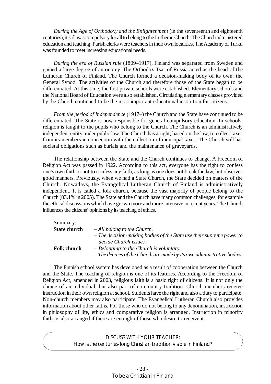*During the Age of Orthodoxy and the Enlightenment* (in the seventeenth and eighteenth centuries), it still was compulsory for all to belong to the Lutheran Church. The Church administered education and teaching. Parish clerks were teachers in their own localities. The Academy of Turku was founded to meet increasing educational needs.

*During the era of Russian rule* (1809–1917), Finland was separated from Sweden and gained a large degree of autonomy. The Orthodox Tsar of Russia acted as the head of the Lutheran Church of Finland. The Church formed a decision-making body of its own: the General Synod. The activities of the Church and therefore those of the State began to be differentiated. At this time, the first private schools were established. Elementary schools and the National Board of Education were also established. Circulating elementary classes provided by the Church continued to be the most important educational institution for citizens.

*From the period of Independence* (1917–) the Church and the State have continued to be differentiated. The State is now responsible for general compulsory education. In schools, religion is taught to the pupils who belong to the Church. The Church is an administratively independent entity under public law. The Church has a right, based on the law, to collect taxes from its members in connection with the collection of municipal taxes. The Church still has societal obligations such as burials and the maintenance of graveyards.

The relationship between the State and the Church continues to change. A Freedom of Religion Act was passed in 1922. According to this act, everyone has the right to confess one's own faith or not to confess any faith, as long as one does not break the law, but observes good manners. Previously, when we had a State Church, the State decided on matters of the Church. Nowadays, the Evangelical Lutheran Church of Finland is administratively independent. It is called a folk church, because the vast majority of people belong to the Church (83.1% in 2005). The State and the Church have many common challenges, for example the ethical discussions which have grown more and more intensive in recent years. The Church influences the citizens' opinions by its teaching of ethics.

| Summary:            |                                                                          |
|---------------------|--------------------------------------------------------------------------|
| <b>State church</b> | $-$ All belong to the Church.                                            |
|                     | - The decision-making bodies of the State use their supreme power to     |
|                     | decide Church issues.                                                    |
| <b>Folk church</b>  | - Belonging to the Church is voluntary.                                  |
|                     | $-$ The decrees of the Church are made by its own administrative bodies. |

The Finnish school system has developed as a result of cooperation between the Church and the State. The teaching of religion is one of its features. According to the Freedom of Religion Act, amended in 2003, religious faith is a basic right of citizens. It is not only the choice of an individual, but also part of community tradition. Church members receive instruction in their own religion at school. Students have the right and also a duty to participate. Non-church members may also participate. The Evangelical Lutheran Church also provides information about other faiths. For those who do not belong to any denomination, instruction in philosophy of life, ethics and comparative religion is arranged. Instruction in minority faiths is also arranged if there are enough of those who desire to receive it.

> DISCUSS WITH YOUR TEACHER: How is the centuries-long Christian tradition visible in Finland?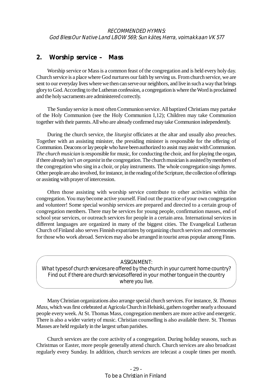# **2. Worship service – Mass**

Worship service or Mass is a common feast of the congregation and is held every holy day. Church service is a place where God nurtures our faith by serving us. From church service, we are sent to our everyday lives where we then can serve our neighbors, and live in such a way that brings glory to God. According to the Lutheran confession, a congregation is where the Word is proclaimed and the holy sacraments are administered correctly.

The Sunday service is most often Communion service. All baptized Christians may partake of the Holy Communion (see the Holy Communion I,12); Children may take Communion together with their parents. All who are already confirmed may take Communion independently.

During the church service, the *liturgist* officiates at the altar and usually also *preaches*. Together with an assisting minister, the presiding minister is responsible for the offering of Communion. Deacons or lay people who have been authorized to assist may assist with Communion. *The church musician* is responsible for music, for conducting the choir, and for playing the organ, if there already isn't *an organist* in the congregation. The church musician is assisted by members of the congregation who sing in a choir, or play instruments. The whole congregation sings *hymns*. Other people are also involved, for instance, in the reading of the Scripture, the collection of offerings or assisting with prayer of intercession.

Often those assisting with worship service contribute to other activities within the congregation. You may become active yourself. Find out the practice of your own congregation and volunteer! Some special worship services are prepared and directed to a certain group of congregation members. There may be services for young people, confirmation masses, end of school year services, or outreach services for people in a certain area. International services in different languages are organized in many of the biggest cities. The Evangelical Lutheran Church of Finland also serves Finnish expatriates by organizing church services and ceremonies for those who work abroad. Services may also be arranged in tourist areas popular among Finns.

#### ASSIGNMENT:

What types of church services are offered by the church in your current home country? Find out if there are church services offered in your mother tongue in the country where you live.

Many Christian organizations also arrange special church services. For instance, *St. Thomas Mass*, which was first celebrated at Agricola Church in Helsinki, gathers together nearly a thousand people every week. At St. Thomas Mass, congregation members are more active and energetic. There is also a wider variety of music. Christian counselling is also available there. St. Thomas Masses are held regularly in the largest urban parishes.

Church services are the core activity of a congregation. During holiday seasons, such as Christmas or Easter, more people generally attend church. Church services are also broadcast regularly every Sunday. In addition, church services are telecast a couple times per month.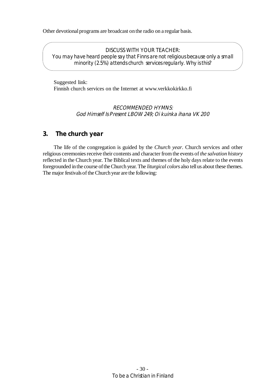Other devotional programs are broadcast on the radio on a regular basis.

DISCUSS WITH YOUR TEACHER:

You may have heard people say that Finns are not religious because only a small minority (2.5%) attends church services regularly. Why is this?

Suggested link: Finnish church services on the Internet at [www.verkkokirkko.fi](http://www.verkkokirkko.fi)

## RECOMMENDED HYMNS: God Himself Is Present LBOW 249; Oi kuinka ihana VK 200

# **3. The church year**

The life of the congregation is guided by the *Church year*. Church services and other religious ceremonies receive their contents and character from the events of*the salvation history* reflected in the Church year. The Biblical texts and themes of the holy days relate to the events foregrounded in the course of the Church year. The *liturgical colors* also tell us about these themes. The major festivals of the Church year are the following: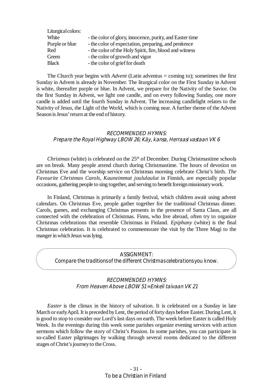| Liturgical colors: |                                                          |
|--------------------|----------------------------------------------------------|
| White              | - the color of glory, innocence, purity, and Easter time |
| Purple or blue     | - the color of expectation, preparing, and penitence     |
| Red                | - the color of the Holy Spirit, fire, blood and witness  |
| Green              | - the color of growth and vigor                          |
| <b>Black</b>       | - the color of grief for death                           |

The Church year begins with *Advent* (Latin adventus = coming to); sometimes the first Sunday in Advent is already in November. The liturgical color on the First Sunday in Advent is white, thereafter purple or blue. In Advent, we prepare for the Nativity of the Savior. On the first Sunday in Advent, we light one candle, and on every following Sunday, one more candle is added until the fourth Sunday in Advent. The increasing candlelight relates to the Nativity of Jesus, the Light of the World, which is coming near. A further theme of the Advent Season is Jesus' return at the end of history.

#### RECOMMENDED HYMNS: Prepare the Royal Highway LBOW 26; Käy, kansa, Herraasi vastaan VK 6

*Christmas* (white) is celebrated on the 25<sup>th</sup> of December. During Christmastime schools are on break. Many people attend church during Christmastime. The hours of devotion on Christmas Eve and the worship service on Christmas morning celebrate Christ's birth. *The Favourite Christmas Carols, Kauneimmat joululaulut* in Finnish, are especially popular occasions, gathering people to sing together, and serving to benefit foreign missionary work.

In Finland, Christmas is primarily a family festival, which children await using advent calendars. On Christmas Eve, people gather together for the traditional Christmas dinner. Carols, games, and exchanging Christmas presents in the presence of Santa Claus, are all connected with the celebration of Christmas. Finns, who live abroad, often try to organize Christmas celebrations that resemble Christmas in Finland. *Epiphany* (white) is the final Christmas celebration. It is celebrated to commemorate the visit by the Three Magi to the manger in which Jesus was lying.



#### RECOMMENDED HYMNS: From Heaven Above LBOW 51 = Enkeli taivaan VK 21

*Easter* is the climax in the history of salvation. It is celebrated on a Sunday in late March or early April. It is preceded by Lent, the period of forty days before Easter. During Lent, it is good to stop to consider our Lord's last days on earth. The week before Easter is called Holy Week. In the evenings during this week some parishes organize evening services with action sermons which follow the story of Christ's Passion. In some parishes, you can participate in so-called Easter pilgrimages by walking through several rooms dedicated to the different stages of Christ's journey to the Cross.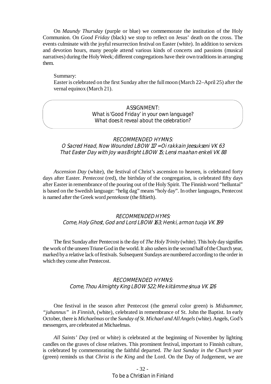On *Maundy Thursday* (purple or blue) we commemorate the institution of the Holy Communion. On *Good Friday* (black) we stop to reflect on Jesus' death on the cross. The events culminate with the joyful resurrection festival on Easter (white). In addition to services and devotion hours, many people attend various kinds of concerts and passions (musical narratives) during the Holy Week; different congregations have their own traditions in arranging them.

#### Summary:

Easter is celebrated on the first Sunday after the full moon (March 22–April 25) after the vernal equinox (March 21).

#### ASSIGNMENT: What is 'Good Friday' in your own language? What does it reveal about the celebration?

#### RECOMMENDED HYMNS:

O Sacred Head, Now Wounded LBOW 117 = Oi rakkain Jeesukseni VK 63 That Easter Day with Joy was Bright LBOW 15; Lensi maahan enkeli VK 88

*Ascension Day* (white), the festival of Christ's ascension to heaven, is celebrated forty days after Easter. *Pentecost* (red), the birthday of the congregation, is celebrated fifty days after Easter in remembrance of the pouring out of the Holy Spirit. The Finnish word "helluntai" is based on the Swedish language: "helig dag" means "holy day". In other languages, Pentecost is named after the Greek word *pentekoste* (the fiftieth).

> RECOMMENDED HYMS: Come, Holy Ghost, God and Lord LBOW 163; Henki, armon tuoja VK 199

The first Sunday after Pentecost is the day of *The Holy Trinity* (white). This holy day signifies the work of the unseen Triune God in the world. It also ushers in the second half of the Church year, marked by a relative lack of festivals. Subsequent Sundays are numbered according to the order in which they come after Pentecost.

#### RECOMMENDED HYMNS: Come, Thou Almighty King LBOW 522; Me kiitämme sinua VK 126

One festival in the season after Pentecost (the general color green) is *Midsummer, "juhannus" in Finnish,* (white), celebrated in remembrance of St. John the Baptist. In early October, there is *Michaelmas* or the *Sunday of St. Michael and All Angels*(white). Angels, God's messengers, are celebrated at Michaelmas.

*All Saints' Day* (red or white) is celebrated at the beginning of November by lighting candles on the graves of close relatives. This prominent festival, important to Finnish culture, is celebrated by commemorating the faithful departed. *The last Sunday in the Church year* (green) reminds us that *Christ is the King* and the Lord. On the Day of Judgement, we are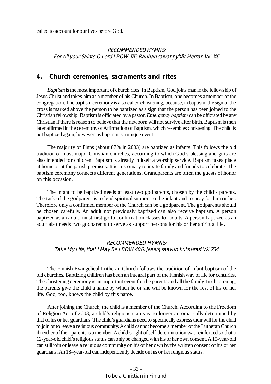called to account for our lives before God.

#### RECOMMENDED HYMNS: For All your Saints, O Lord LBOW 176; Rauhan saivat pyhät Herran VK 146

#### **4. Church ceremonies, sacraments and rites**

*Baptism* is the most important of church rites. In Baptism, God joins man in the fellowship of Jesus Christ and takes him as a member of his Church. In Baptism, one becomes a member of the congregation. The baptism ceremony is also called christening, because, in baptism, the sign of the cross is marked above the person to be baptized as a sign that the person has been joined to the Christian fellowship. Baptism is officiated by a pastor. *Emergency baptism* can be officiated by any Christian if there is reason to believe that the newborn will not survive after birth. Baptism is then later affirmed in the ceremony of Affirmation of Baptism, which resembles christening. The child is not baptized again, however, as baptism is a unique event.

The majority of Finns (about 87% in 2003) are baptized as infants. This follows the old tradition of most major Christian churches, according to which God's blessing and gifts are also intended for children. Baptism is already in itself a worship service. Baptism takes place at home or at the parish premises. It is customary to invite family and friends to celebrate. The baptism ceremony connects different generations. Grandparents are often the guests of honor on this occasion.

The infant to be baptized needs at least two godparents, chosen by the child's parents. The task of the godparent is to lend spiritual support to the infant and to pray for him or her. Therefore only a confirmed member of the Church can be a godparent. The godparents should be chosen carefully. An adult not previously baptized can also receive baptism. A person baptized as an adult, must first go to confirmation classes for adults. A person baptized as an adult also needs two godparents to serve as support persons for his or her spiritual life.

#### RECOMMENDED HYMNS: Take My Life, that I May Be LBOW 406; Jeesus, saavun kutsustasi VK 234

The Finnish Evangelical Lutheran Church follows the tradition of infant baptism of the old churches. Baptizing children has been an integral part of the Finnish way of life for centuries. The christening ceremony is an important event for the parents and all the family. In christening, the parents give the child a name by which he or she will be known for the rest of his or her life. God, too, knows the child by this name.

After joining the Church, the child is a member of the Church. According to the Freedom of Religion Act of 2003, a child's religious status is no longer automatically determined by that of his or her guardians. The child's guardians need to specifically express their will for the child to join or to leave a religious community. A child cannot become a member of the Lutheran Church if neither of their parents is a member. A child's right of self-determination was reinforced so that a 12-year-old child's religious status can only be changed with his or her own consent. A 15-year-old can still join or leave a religious community on his or her own by the written consent of his or her guardians. An 18–year-old can independently decide on his or her religious status.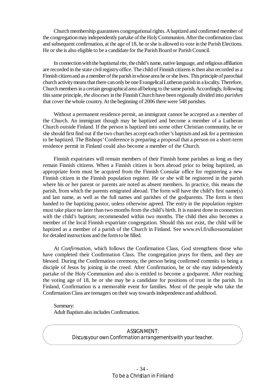Church membership guarantees congregational rights. A baptized and confirmed member of the congregation may independently partake of the Holy Communion. After the confirmation class and subsequent confirmation, at the age of 18, he or she is allowed to vote in the Parish Elections. He or she is also eligible to be a candidate for the Parish Board or Parish Council.

In connection with the baptismal rite, the child's name, native language, and religious affiliation are recorded in the state civil registry office. The child of Finnish citizens is then also recorded as a Finnish citizen and as a member of the parish in whose area he or she lives. This principle of parochial church activity means that there can only be one Evangelical Lutheran parish in a locality. Therefore, Church members in a certain geographical area all belong to the same parish. Accordingly, following this same principle, *the dioceses* in the Finnish Church have been regionally divided into *parishes* that cover the whole country. At the beginning of 2006 there were 548 parishes.

Without a permanent residence permit, an immigrant cannot be accepted as a member of the Church. An immigrant though may be baptized and become a member of a Lutheran Church outside Finland. If the person is baptized into some other Christian community, he or she should first find out if the two churches accept each other's baptism and ask for a permission to be baptized. The Bishops' Conference is preparing a proposal that a person on a short-term residence permit in Finland could also become a member of the Church.

Finnish expatriates will remain members of their Finnish home parishes as long as they remain Finnish citizens. When a Finnish citizen is born abroad prior to being baptized, an appropriate form must be acquired from the Finnish Consular office for registering a new Finnish citizen in the Finnish population register. He or she will be registered in the parish where his or her parent or parents are noted as absent members. In practice, this means the parish, from which the parents emigrated abroad. The form will have the child's first name(s) and last name, as well as the full names and parishes of the godparents. The form is then handed to the baptizing pastor, unless otherwise agreed. The entry in the population register must take place no later than two months from the child's birth. It is easiest done in connection with the child's baptism; recommended within two months. The child then also becomes a member of the local Finnish expatriate congregation. Should this not exist, the child will be baptized as a member of a parish of the Church in Finland. See [www.evl.fi/ulkosuomalaiset](http://www.evl.fi/ulkosuomalaiset) for detailed instructions and the form to be filled.

At *Confirmation,* which follows the Confirmation Class, God strengthens those who have completed their Confirmation Class. The congregation prays for them, and they are blessed. During the Confirmation ceremony, the person being confirmed commits to being a disciple of Jesus by joining in the creed. After Confirmation, he or she may independently partake of the Holy Communion and also is entitled to become a godparent. After reaching the voting age of 18, he or she may be a candidate for positions of trust in the parish. In Finland, Confirmation is a memorable event for families. Most of the people who take the Confirmation Class are teenagers on their way towards independence and adulthood.

Summary: Adult Baptism also includes Confirmation.

> ASSIGNMENT: Discuss your own Confirmation arrangements with your teacher.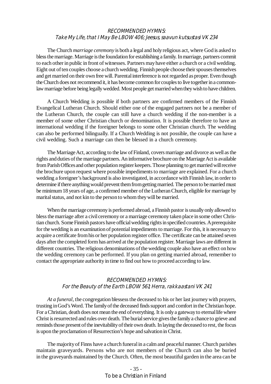#### RECOMMENDED HYMNS: Take My Life, that I May Be LBOW 406; Jeesus, saavun kutsustasi VK 234

The Church *marriage ceremony* is both a legal and holy religious act, where God is asked to bless the marriage. Marriage is the foundation for establishing a family. In marriage, partners commit to each other in public in front of witnesses. Partners may have either a church or a civil wedding. Eight out of ten couples choose a church wedding. Finnish people choose their spouses themselves and get married on their own free will. Parental interference is not regarded as proper. Even though the Church does not recommend it, it has become common for couples to live together in a commonlaw marriage before being legally wedded. Most people get married when they wish to have children.

A Church Wedding is possible if both partners are confirmed members of the Finnish Evangelical Lutheran Church. Should either one of the engaged partners not be a member of the Lutheran Church, the couple can still have a church wedding if the non-member is a member of some other Christian church or denomination. It is possible therefore to have an international wedding if the foreigner belongs to some other Christian church. The wedding can also be performed bilingually. If a Church Wedding is not possible, the couple can have a civil wedding. Such a marriage can then be blessed in a church ceremony.

The Marriage Act, according to the law of Finland, covers marriage and divorce as well as the rights and duties of the marriage partners. An informative brochure on the Marriage Act is available from Parish Offices and other population register keepers. Those planning to get married will receive the brochure upon request where possible impediments to marriage are explained. For a church wedding a foreigner's background is also investigated, in accordance with Finnish law, in order to determine if there anything would prevent them from getting married. The person to be married must be minimum 18 years of age, a confirmed member of the Lutheran Church, eligible for marriage by marital status, and not kin to the person to whom they will be married.

When the marriage ceremony is performed abroad, a Finnish pastor is usually only allowed to bless the marriage after a civil ceremony or a marriage ceremony taken place in some other Christian church. Some Finnish pastors have official wedding rights in specified countries. A prerequisite for the wedding is an examination of potential impediments to marriage. For this, it is necessary to acquire a certificate from his or her population register office. The certificate can be attained seven days after the completed form has arrived at the population register. Marriage laws are different in different countries. The religious denominations of the wedding couple also have an effect on how the wedding ceremony can be performed. If you plan on getting married abroad, remember to contact the appropriate authority in time to find out how to proceed according to law.

#### RECOMMENDED HYMNS: For the Beauty of the Earth LBOW 561; Herra, rakkaastani VK 241

*At a funeral*, the congregation blessess the deceased to his or her last journey with prayers, trusting in God's Word. The family of the deceased finds support and comfort in the Christian hope. For a Christian, death does not mean the end of everything. It is only a gateway to eternal life where Christ is resurrected and rules over death. The burial service gives the family a chance to grieve and reminds those present of the inevitability of their own death. In laying the deceased to rest, the focus is upon the proclamation of Resurrection's hope and salvation in Christ.

The majority of Finns have a church funeral in a calm and peaceful manner. Church parishes maintain graveyards. Persons who are not members of the Church can also be buried in the graveyards maintained by the Church. Often, the most beautiful garden in the area can be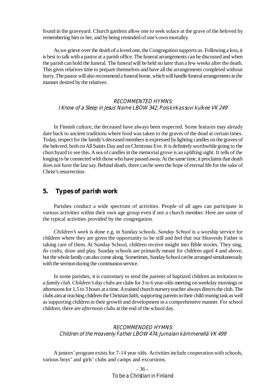found in the graveyard. Church gardens allow one to seek solace at the grave of the beloved by remembering him or her, and by being reminded of one's own mortality.

As we grieve over the death of a loved one, the Congregation supports us. Following a loss, it is best to talk with a pastor at a parish office. The funeral arrangements can be discussed and when the parish can hold the funeral. The funeral will be held no later than a few weeks after the death. This gives relatives time to prepare themselves and have all the arrangements completed without hurry. The pastor will also recommend a funeral home, which will handle funeral arrangements in the manner desired by the relatives.

#### RECOMMENTED HYMNS: I Know of a Sleep in Jesus' Name LBOW 342; Pois kirkas suvi kulkee VK 249

In Finnish culture, the deceased have always been respected. Some features may already date back to ancient traditions where food was taken to the graves of the dead at certain times. Today, respect for the family's deceased members is expressed by lighting candles on the graves of the beloved, both on All Saints Day and on Christmas Eve. It is definitely worthwhile going to the churchyard to see this. A sea of candles in the memorial grove is an uplifting sight. It tells of the longing to be connected with those who have passed away. At the same time, it proclaims that death does not have the last say. Behind death, there can be seen the hope of eternal life for the sake of Christ's resurrection.

#### **5. Types of parish work**

Parishes conduct a wide spectrum of activities. People of all ages can participate in various activities within their own age group even if not a church member. Here are some of the typical activities provided by the congregation.

*Children's work* is done e.g. in Sunday schools. *Sunday School* is a worship service for children where they are given the opportunity to be still and feel that our Heavenly Father is taking care of them. At Sunday School, children receive insight into Bible stories. They sing, do crafts, draw and play. Sunday schools are primarily meant for children aged 4 and above, but the whole family can also come along. Sometimes, Sunday School can be arranged simultaneously with the sermon during the communion service.

In some parishes, it is customary to send the parents of baptized children an invitation to *a family club*. *Children's day clubs* are clubs for 3 to 6 year-olds meeting on weekday mornings or afternoons for 1.5 to 3 hours at a time. A trained church nursery teacher always directs the club. The clubs aim at teaching children the Christian faith, supporting parents in their child rearing task as well as supporting children in their growth and development in a comprehensive manner. For school children, there are *afternoon clubs* at the end of the school day.

#### RECOMMENDED HYMNS: Children of the Heavenly Father LBOW 474; Jumalan kämmenellä VK 499

A juniors' program exists for 7-14 year olds. Activities include cooperation with schools, various boys' and girls' clubs and camps and excursions.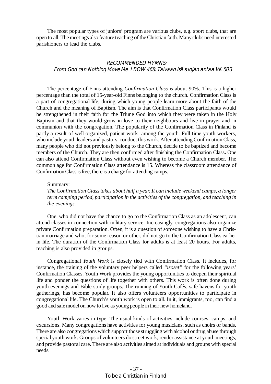The most popular types of juniors' program are various clubs, e.g. sport clubs, that are open to all. The meetings also feature teaching of the Christian faith. Many clubs need interested parishioners to lead the clubs.

#### RECOMMENDED HYMNS: From God can Nothing Move Me LBOW 468; Taivaan Isä suojan antaa VK 503

The percentage of Finns attending *Confirmation Class* is about 90%. This is a higher percentage than the total of 15-year-old Finns belonging to the church. Confirmation Class is a part of congregational life, during which young people learn more about the faith of the Church and the meaning of Baptism. The aim is that Confirmation Class participants would be strengthened in their faith for the Triune God into which they were taken in the Holy Baptism and that they would grow in love to their neighbours and live in prayer and in communion with the congregation. The popularity of the Confirmation Class in Finland is partly a result of well-organized, patient work among the youth. Full-time youth workers, who include youth leaders and pastors, conduct this work. After attending Confirmation Class, many people who did not previously belong to the Church, decide to be baptized and become members of the Church. They are then confirmed after finishing the Confirmation Class**.** One can also attend Confirmation Class without even wishing to become a Church member. The common age for Confirmation Class attendance is 15. Whereas the classroom attendance of Confirmation Class is free, there is a charge for attending camps.

#### Summary:

*The Confirmation Class takes about half a year. It can include weekend camps, a longer term camping period, participation in the activities of the congregation, and teaching in the evenings.*

One, who did not have the chance to go to the Confirmation Class as an adolescent, can attend classes in connection with military service. Increasingly, congregations also organize private Confirmation preparation. Often, it is a question of someone wishing to have a Christian marriage and who, for some reason or other, did not go to the Confirmation Class earlier in life. The duration of the Confirmation Class for adults is at least 20 hours. For adults, teaching is also provided in groups.

Congregational *Youth Work* is closely tied with Confirmation Class. It includes, for instance, the training of the voluntary peer helpers called *"isoset"* for the following years' Confirmation Classes. Youth Work provides the young opportunities to deepen their spiritual life and ponder the questions of life together with others. This work is often done during youth evenings and Bible study groups. The running of Youth Cafés, safe havens for youth gatherings, has become popular. It also offers volunteers opportunities to participate in congregational life. The Church's youth work is open to all. In it, immigrants, too, can find a good and safe model on how to live as young people in their new homeland.

Youth Work varies in type. The usual kinds of activities include courses, camps, and excursions. Many congregations have activities for young musicians, such as choirs or bands. There are also congregations which support those struggling with alcohol or drug abuse through special youth work. Groups of volunteers do street work, render assistance at youth meetings, and provide pastoral care. There are also activities aimed at individuals and groups with special needs.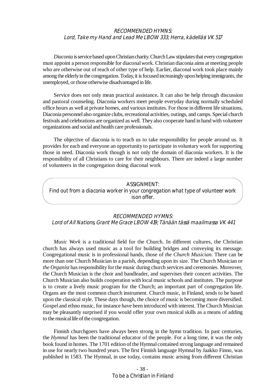#### RECOMMENDED HYMNS: Lord, Take my Hand and Lead Me LBOW 333; Herra, kädelläsi VK 517

*Diaconia* is service based upon Christian charity. Church Law stipulates that every congregation must appoint a person responsible for diaconal work. Christian diaconia aims at meeting people who are otherwise out of reach of other type of help. Earlier, diaconal work took place mainly among the elderly in the congregation. Today, it is focused increasingly upon helping immigrants, the unemployed, or those otherwise disadvantaged in life.

Service does not only mean practical assistance**.** It can also be help through discussion and pastoral counseling. Diaconia workers meet people everyday during normally scheduled office hours as well at private homes, and various institutes. For those in different life situations, Diaconia personnel also organize clubs, recreational activities, outings, and camps. Special church festivals and celebrations are organized as well. They also cooperate hand in hand with volunteer organizations and social and health care professionals.

The objective of diaconia is to teach us to take responsibility for people around us. It provides for each and everyone an opportunity to participate in voluntary work for supporting those in need. Diaconia work though is not only the domain of diaconia workers. It is the responsibility of all Christians to care for their neighbours. There are indeed a large number of volunteers in the congregation doing diaconal work

# ASSIGNMENT: Find out from a diaconia worker in your congregation what type of volunteer work is on offer.

#### RECOMMENDED HYMNS:

Lord of All Nations, Grant Me Grace LBOW 419; Tänään tässä maailmassa VK 441

*Music Work* is a traditional field for the Church. In different cultures, the Christian church has always used music as a tool for building bridges and conveying its message. Congregational music is in professional hands, those of *the Church Musician*. There can be more than one Church Musician in a parish, depending upon its size. The Church Musician or *the Organist* has responsibility for the music during church services and ceremonies. Moreover, the Church Musician is the choir and bandleader, and supervises their concert activities. The Church Musician also builds cooperation with local music schools and institutes. The purpose is to create a lively music program for the Church; an important part of congregation life. Organs are the most common church instrument. Church music, in Finland, tends to be based upon the classical style. These days though, the choice of music is becoming more diversified. Gospel and ethno music, for instance have been introduced with interest. The Church Musician may be pleasantly surprised if you would offer your own musical skills as a means of adding to the musical life of the congregation.

Finnish churchgoers have always been strong in the hymn tradition. In past centuries, the *Hymnal* has been the traditional educator of the people. For a long time, it was the only book found in homes. The 1701 edition of the Hymnal contained strong language and remained in use for nearly two hundred years. The first Finnish language Hymnal by Jaakko Finno, was published in 1583. The Hymnal, in use today, contains music arising from different Christian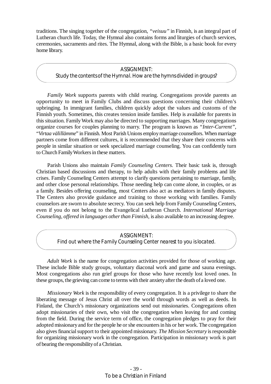traditions. The singing together of the congregation, *"veisuu"*in Finnish, is an integral part of Lutheran church life. Today, the Hymnal also contains forms and liturgies of church services, ceremonies, sacraments and rites. The Hymnal, along with the Bible, is a basic book for every home library.

#### ASSIGNMENT:

Study the contents of the Hymnal. How are the hymns divided in groups?

*Family Work* supports parents with child rearing. Congregations provide parents an opportunity to meet in Family Clubs and discuss questions concerning their children's upbringing. In immigrant families, children quickly adopt the values and customs of the Finnish youth. Sometimes, this creates tension inside families. Help is available for parents in this situation. Family Work may also be directed to supporting marriages. Many congregations organize courses for couples planning to marry. The program is known as *"Inter-Current"*, "*Virtaa välillämme*" in Finnish. Most Parish Unions employ marriage counsellors. When marriage partners come from different cultures, it is recommended that they share their concerns with people in similar situation or seek specialized marriage counseling. You can confidently turn to Church Family Workers in these matters.

Parish Unions also maintain *Family Counseling Centers.* Their basic task is, through Christian based discussions and therapy, to help adults with their family problems and life crises. Family Counseling Centers attempt to clarify questions pertaining to marriage, family, and other close personal relationships. Those needing help can come alone, in couples, or as a family. Besides offering counseling, most Centers also act as mediators in family disputes. The Centers also provide guidance and training to those working with families. Family counselors are sworn to absolute secrecy. You can seek help from Family Counseling Centers, even if you do not belong to the Evangelical Lutheran Church. *International Marriage Counseling, offered in languages other than Finnish*, is also available to an increasing degree.

### ASSIGNMENT: Find out where the Family Counseling Center nearest to you is located.

*Adult Work* is the name for congregation activities provided for those of working age. These include Bible study groups, voluntary diaconal work and game and sauna evenings. Most congregations also run grief groups for those who have recently lost loved ones. In these groups, the grieving can come to terms with their anxiety after the death of a loved one.

*Missionary Work* is the responsibility of every congregation. It is a privilege to share the liberating message of Jesus Christ all over the world through words as well as deeds. In Finland, the Church's missionary organizations send out missionaries. Congregations often adopt missionaries of their own, who visit the congregation when leaving for and coming from the field. During the service term of office, the congregation pledges to pray for their adopted missionary and for the people he or she encounters in his or her work. The congregation also gives financial support to their appointed missionary. *The Mission Secretary* is responsible for organizing missionary work in the congregation. Participation in missionary work is part of bearing the responsibility of a Christian.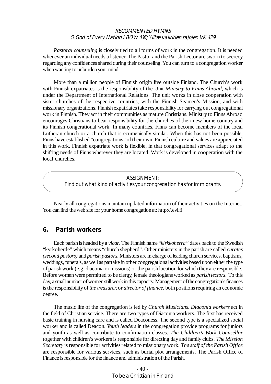#### RECOMMENTED HYMNS O God of Every Nation LBOW 416; Ylitse kaikkien rajojen VK 429

*Pastoral counseling* is closely tied to all forms of work in the congregation. It is needed whenever an individual needs a listener. The Pastor and the Parish Lector are sworn to secrecy regarding any confidences shared during their counseling. You can turn to a congregation worker when wanting to unburden your mind.

More than a million people of Finnish origin live outside Finland. The Church's work with Finnish expatriates is the responsibility of the Unit *Ministry to Finns Abroad,* which is under the Department of International Relations*.* The unit works in close cooperation with sister churches of the respective countries, with the Finnish Seamen's Mission, and with missionary organizations. Finnish expatriates take responsibility for carrying out congregational work in Finnish. They act in their communities as mature Christians. Ministry to Finns Abroad encourages Christians to bear responsibility for the churches of their new home country and its Finnish congerational work. In many countries, Finns can become members of the local Lutheran church or a church that is ecumenically similar. When this has not been possible, Finns have established "congregations" of their own. Finnish culture and values are appreciated in this work. Finnish expatriate work is flexible, in that congregational services adapt to the shifting needs of Finns wherever they are located. Work is developed in cooperation with the local churches.

### ASSIGNMENT: Find out what kind of activities your congregation has for immigrants.

Nearly all congregations maintain updated information of their activities on the Internet. You can find the web site for your home congregation at: http://.evl.fi

### **6. Parish workers**

Each parish is headed by a *vicar*. The Finnish name "*kirkkoherra"* dates back to the Swedish "kyrkoherde" which means "church shepherd". Other ministers in the parish are called *curates (second pastors)* and *parish pastors*. Ministers are in charge of leading church services, baptisms, weddings, funerals, as well as partake in other congregational activities based upon either the type of parish work (e.g. diaconia or missions) or the parish location for which they are responsible. Before women were permitted to be clergy, female theologians worked as *parish lectors*. To this day, a small number of women still work in this capacity. Management of the congregation's finances is the responsibility of*the treasurer,* or *director of finance*, both positions requiring an economic degree.

The music life of the congregation is led by *Church Musicians*. *Diaconia workers* act in the field of Christian service. There are two types of Diaconia workers. The first has received basic training in nursing care and is called Deaconess. The second type is a specialized social worker and is called Deacon. *Youth leaders* in the congregation provide programs for juniors and youth as well as contribute to confirmation classes. *The Children's Work Counsellor* together with children's workers is responsible for directing day and family clubs. *The Mission Secretary* is responsible for activities related to missionary work. *The staff of the Parish Office* are responsible for various services, such as burial plot arrangements. The Parish Office of Finance is responsible for the finance and administration of the Parish.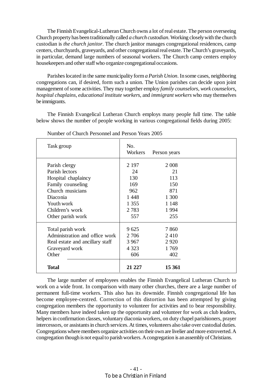The Finnish Evangelical-Lutheran Church owns a lot of real estate. The person overseeing Church property has been traditionally called *a church custodian*. Working closely with the church custodian is *the church janitor*. The church janitor manages congregational residences, camp centers*,* churchyards, graveyards, and other congregational real estate. The Church's graveyards, in particular, demand large numbers of seasonal workers. The Church camp centers employ housekeepers and other staff who organize congregational occasions.

Parishes located in the same municipality form *a Parish Union*. In some cases, neighboring congregations can, if desired, form such a union. The Union parishes can decide upon joint management of some activities. They may together employ *family counselors*, *work counselors*, *hospital chaplains*, *educational institute workers*, and *immigrant workers* who may themselves be immigrants.

The Finnish Evangelical Lutheran Church employs many people full time. The table below shows the number of people working in various congregational fields during 2005:

| Task group                      | No.     |              |  |
|---------------------------------|---------|--------------|--|
|                                 | Workers | Person years |  |
| Parish clergy                   | 2 1 9 7 | 2 0 0 8      |  |
| Parish lectors                  | 24      | 21           |  |
| Hospital chaplaincy             | 130     | 113          |  |
| Family counseling               | 169     | 150          |  |
| Church musicians                | 962     | 871          |  |
| Diaconia                        | 1448    | 1 300        |  |
| Youth work                      | 1 3 5 5 | 1 1 4 8      |  |
| Children's work                 | 2783    | 1994         |  |
| Other parish work               | 557     | 255          |  |
| Total parish work               | 9625    | 7860         |  |
| Administration and office work  | 2 7 0 6 | 2410         |  |
| Real estate and ancillary staff | 3 9 6 7 | 2 9 2 0      |  |
| Graveyard work                  | 4 3 2 3 | 1769         |  |
| Other                           | 606     | 402          |  |
| <b>Total</b>                    | 21 227  | 15 361       |  |

Number of Church Personnel and Person Years 2005

The large number of employees enables the Finnish Evangelical Lutheran Church to work on a wide front. In comparison with many other churches, there are a large number of permanent full-time workers. This also has its downside. Finnish congregational life has become employee-centred. Correction of this distortion has been attempted by giving congregation members the opportunity to volunteer for activities and to bear responsibility. Many members have indeed taken up the opportunity and volunteer for work as club leaders, helpers in confirmation classes, voluntary diaconia workers, on duty chapel parishioners, prayer intercessors, or assistants in church services. At times, volunteers also take over custodial duties. Congregations where members organize activities on their own are livelier and more extroverted. A congregation though is not equal to parish workers. A congregation is an assembly of Christians.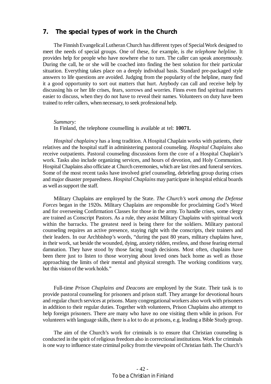#### **7. The special types of work in the Church**

The Finnish Evangelical Lutheran Church has different types of Special Work designed to meet the needs of special groups. One of these, for example, is *the telephone helpline*. It provides help for people who have nowhere else to turn. The caller can speak anonymously. During the call, he or she will be coached into finding the best solution for their particular situation. Everything takes place on a deeply individual basis. Standard pre-packaged style answers to life questions are avoided. Judging from the popularity of the helpline, many find it a good opportunity to sort out matters that hurt. Anybody can call and receive help by discussing his or her life crises, fears, sorrows and worries. Finns even find spiritual matters easier to discuss, when they do not have to reveal their names. Volunteers on duty have been trained to refer callers, when necessary, to seek professional help.

#### *Summary:*

In Finland, the telephone counselling is available at tel: **10071.**

*Hospital chaplaincy* has a long tradition. A Hospital Chaplain works with patients, their relatives and the hospital staff in administering pastoral counseling. *Hospital Chaplains* also receive outpatients. Pastoral counseling discussions form the core of a Hospital Chaplain's work. Tasks also include organizing services, and hours of devotion, and Holy Communion. Hospital Chaplains also officiate at Church ceremonies, which are last rites and funeral services. Some of the most recent tasks have involved grief counseling, debriefing group during crises and major disaster preparedness. *Hospital Chaplains* may participate in hospital ethical boards as well as support the staff.

Military Chaplains are employed by the State. *The Church's work among the Defense Forces* began in the 1920s. Military Chaplains are responsible for proclaiming God's Word and for overseeing Confirmation Classes for those in the army. To handle crises, some clergy are trained as Conscript Pastors. As a rule, they assist Military Chaplains with spiritual work within the barracks. The greatest need is being there for the soldiers. Military pastoral counseling requires an active presence, staying right with the conscripts, their trainers and their leaders. In our Archbishop's words, "during the past 80 years, military chaplains have, in their work, sat beside the wounded, dying, anxiety ridden, restless, and those fearing eternal damnation. They have stood by those facing tough decisions. Most often, chaplains have been there just to listen to those worrying about loved ones back home as well as those approaching the limits of their mental and physical strength. The working conditions vary, but this vision of the work holds."

Full-time *Prison Chaplains and Deacons* are employed by the State. Their task is to provide pastoral counseling for prisoners and prison staff. They arrange for devotional hours and regular church services at prisons. Many congregational workers also work with prisoners in addition to their regular duties. Together with volunteers, Prison Chaplains also attempt to help foreign prisoners. There are many who have no one visiting them while in prison. For volunteers with language skills, there is a lot to do at prisons, e.g. leading a Bible Study group.

The aim of the Church's work for criminals is to ensure that Christian counseling is conducted in the spirit of religious freedom also in correctional institutions. Work for criminals is one way to influence state criminal policy from the viewpoint of Christian faith. The Church's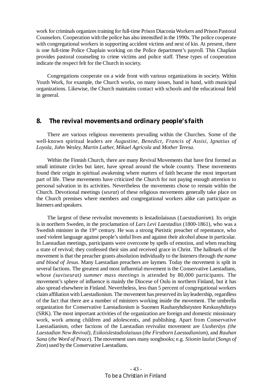work for criminals organizes training for full-time Prison Diaconia Workers and Prison Pastoral Counselors. Cooperation with the police has also intensified in the 1990s. The police cooperate with congregational workers in supporting accident victims and next of kin. At present, there is one full-time Police Chaplain working on the Police department's payroll. This Chaplain provides pastoral counseling to crime victims and police staff. These types of cooperation indicate the respect felt for the Church in society.

Congregations cooperate on a wide front with various organizations in society. Within Youth Work, for example, the Church works, on many issues, hand in hand, with municipal organizations. Likewise, the Church maintains contact with schools and the educational field in general.

# **8. The revival movements and ordinary people's faith**

There are various religious movements prevailing within the Churches. Some of the well-known spiritual leaders are *Augustine, Benedict, Francis of Assisi, Ignatius of Loyola, John Wesley, Martin Luther, Mikael Agricola* and *Mother Teresa*.

Within the Finnish Church, there are many Revival Movements that have first formed as small intimate circles but later, have spread around the whole country. These movements found their origin in spiritual awakening where matters of faith became the most important part of life. These movements have criticized the Church for not paying enough attention to personal salvation in its activities. Nevertheless the movements chose to remain within the Church. Devotional meetings (*seurat*) of these religious movements generally take place on the Church premises where members and congregational workers alike can participate as listeners and speakers.

The largest of these revivalist movements is lestadiolaisuus (*Laestadianism*)*.* Its origin is in northern Sweden, in the proclamation of *Lars Levi Laestadius* (1800-1861), who was a Swedish minister in the 19<sup>th</sup> century. He was a strong Pietistic preacher of repentance, who used violent language against people's sinful lives and against their alcohol abuse in particular. In Laestadian meetings, participants were overcome by spells of emotion, and when reaching a state of revival; they confessed their sins and received grace in Christ. The hallmark of the movement is that the preacher grants absolution individually to the listeners through *the name and blood of Jesus*. Many Laestadian preachers are laymen. Today the movement is split in several factions. The greatest and most influential movement is the Conservative Laestadians, whose *(suviseurat) summer mass meetings* is attended by 80,000 participants. The movement's sphere of influence is mainly the Diocese of Oulu in northern Finland, but it has also spread elsewhere in Finland. Nevertheless, less than 5 percent of congregational workers claim affiliation with Laestadionism. The movement has preserved its lay leadership, regardless of the fact that there are a number of ministers working inside the movement. The umbrella organization for Conservative Laestadionism is Suomen Rauhanyhdistysten Keskusyhdistys (SRK). The most important activities of the organization are foreign and domestic missionary work, work among children and adolescents, and publishing. Apart from Conservative Laestadianism, other factions of the Laestadian revivalist movement are *Uusheräys (the Laestadian New Revival)*, *Esikoislestadiolaisuus* (*the Firstborn Laestadianism*), and *Rauhan Sana* (*the Word of Peace*). The movement uses many songbooks; e.g. *Siionin laulut* (*Songs of Zion*) used by the Conservative Laestadians.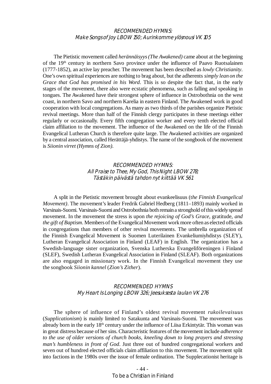#### RECOMMENDED HYMNS: Make Songs of Joy LBOW 150; Aurinkomme ylösnousi VK 105

The Pietistic movement called *herännäisyys (The Awakened)* came about at the beginning of the 19th century in northern Savo province under the influence of Paavo Ruotsalainen (1777-1852), an active lay preacher. The movement has been described as *lowly Christianity*. One's own spiritual experiences are nothing to brag about, but the adherents *simply lean on the Grace that God has promised in his Word*. This is so despite the fact that, in the early stages of the movement, there also were ecstatic phenomena, such as falling and speaking in tongues. The Awakened have their strongest sphere of influence in Ostrobothnia on the west coast, in northern Savo and northern Karelia in eastern Finland. The Awakened work in good cooperation with local congregations. As many as two thirds of the parishes organize Pietistic revival meetings. More than half of the Finnish clergy participates in these meetings either regularly or occasionally. Every fifth congregation worker and every tenth elected official claim affiliation to the movement. The influence of the Awakened on the life of the Finnish Evangelical Lutheran Church is therefore quite large. The Awakened activities are organized by a central association, called Herättäjä-yhdistys. The name of the songbook of the movement is *Siionin virret (Hymns of Zion).*

#### RECOMMENDED HYMNS: All Praise to Thee, My God, This Night LBOW 278; Tästäkin päivästä tahdon nyt kiittää VK 561

A split in the Pietistic movement brought about evankeelisuus (t*he Finnish Evangelical Movement)*. The movement's leader Fredrik Gabriel Hedberg (1811–1893) mainly worked in Varsinais-Suomi. Varsinais-Suomi and Ostrobothnia both remain a stronghold of this widely spread movement. In the movement the stress is upon *the rejoicing of God's Grace*, gratitude*, and the gift of Baptism*. Members of the Evangelical Movement work more often as elected officials in congregations than members of other revival movements. The umbrella organization of the Finnish Evangelical Movement is Suomen Luterilainen Evankeliumiyhdistys (SLEY), Lutheran Evangelical Association in Finland (LEAF) in English. The organization has a Swedish-language sister organization, Svenska Lutherska Evangeliföreningen i Finland (SLEF), Swedish Lutheran Evangelical Association in Finland (SLEAF). Both organizations are also engaged in missionary work. In the Finnish Evangelical movement they use the songbook *Siionin kannel* (*Zion's Zither*).

#### RECOMMENDED HYMNS My Heart Is Longing LBOW 326; Jeesuksesta laulan VK 276

The sphere of influence of Finland's oldest revival movement *rukoilevaisuus* (*Supplicationism*) is mainly limited to Satakunta and Varsinais-Suomi. The movement was already born in the early 18<sup>th</sup> century under the influence of Liisa Erkintytär. This woman was in great distress because of her sins. Characteristic features of the movement include *adherence to the use of older versions of church books*, *kneeling down to long prayers and stressing man's humbleness in front of God*. Just three out of hundred congregational workers and seven out of hundred elected officials claim affiliation to this movement. The movement split into factions in the 1980s over the issue of female ordination. The Supplecationist heritage is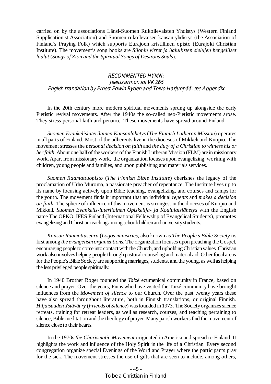carried on by the associations Länsi-Suomen Rukoilevaisten Yhdistys (Western Finland Supplicationist Association) and Suomen rukoilevaisen kansan yhdistys (the Association of Finland's Praying Folk) which supports Eurajoen kristillinen opisto (Eurajoki Christian Institute). The movement's song books are *Siionin virret ja halullisten sielujen hengelliset laulut* (*Songs of Zion and the Spiritual Songs of Desirous Souls*).

 RECOMMENTED HYMN: Jeesus armon soi VK 265 English translation by Ernest Edwin Ryden and Toivo Harjunpää; see Appendix.

In the 20th century more modern spiritual movements sprung up alongside the early Pietistic revival movements. After the 1940s the so-called neo-Pietistic movements arose. They stress personal faith and penance. These movements have spread around Finland.

*Suomen Evankelisluterilainen Kansanlähetys* (*The Finnish Lutheran Mission*) operates in all parts of Finland. Most of the adherents live in the dioceses of Mikkeli and Kuopio. The movement stresses the *personal decision on faith* and *the duty of a Christian to witness his or her faith*. About one half of the workers of the Finnish Lutheran Mission (FLM) are in missionary work. Apart from missionary work, the organization focuses upon evangelizing, working with children, young people and families, and upon publishing and materials services.

*Suomen Raamattuopisto* (*The Finnish Bible Institute*) cherishes the legacy of the proclamation of Urho Muroma, a passionate preacher of repentance. The Institute lives up to its name by focusing actively upon Bible teaching, evangelizing, and courses and camps for the youth. The movement finds it important that an individual *repents* and *makes a decision on faith*. The sphere of influence of this movement is strongest in the dioceses of Kuopio and Mikkeli. *Suomen Evankelis-luterilainen Opiskelija- ja Koululaislähetys* with the English name The OPKO, IFES Finland (International Fellowship of Evangelical Students), promotes evangelizing and Christian teaching among schoolchildren and university students.

*Kansan Raamattuseura* (*Logos ministries*, also known as *The People's Bible Society*) is first among *the evangelism organizations*. The organization focuses upon preaching the Gospel, encouraging people to come into contact with the Church, and upholding Christian values. Christian work also involves helping people through pastoral counseling and material aid. Other focal areas for the People's Bible Society are supporting marriages, students, and the young, as well as helping the less privileged people spiritually.

In 1940 Brother Roger founded the *Taizé* ecumenical community in France, based on silence and prayer. Over the years, Finns who have visited the Taizé community have brought influences from the *Movement of silence* to our Church. Over the past twenty years these have also spread throughout literature, both in Finnish translations, or original Finnish. *Hiljaisuuden Ystävät ry* (*Friends of Silence*) was founded in 1973. The Society organizes silence retreats, training for retreat leaders, as well as research, courses, and teaching pertaining to silence, Bible meditation and the theology of prayer. Many parish workers find the movement of silence close to their hearts.

In the 1970s *the Charismatic Movement* originated in America and spread to Finland. It highlights the work and influence of the Holy Spirit in the life of a Christian. Every second congregation organize special Evenings of the Word and Prayer where the participants pray for the sick. The movement stresses the use of gifts that are seen to include, among others,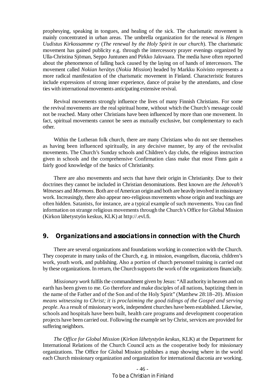prophesying, speaking in tongues, and healing of the sick. The charismatic movement is mainly concentrated in urban areas. The umbrella organization for the renewal is *Hengen Uudistus Kirkossamme ry* (*The renewal by the Holy Spirit in our church*). The charismatic movement has gained publicity e.g. through the intercessory prayer evenings organized by Ulla-Christina Sjöman, Seppo Juntunen and Pirkko Jalovaara. The media have often reported about the phenomenon of falling back caused by the laying on of hands of intercessors. The movement called *Nokian herätys* (*Nokia Mission*) headed by Markku Koivisto represents a more radical manifestation of the charismatic movement in Finland. Characteristic features include expressions of strong inner experience, dance of praise by the attendants, and close ties with international movements anticipating extensive revival.

Revival movements strongly influence the lives of many Finnish Christians. For some the revival movements are the real spiritual home, without which the Church's message could not be reached. Many other Christians have been influenced by more than one movement. In fact, spiritual movements cannot be seen as mutually exclusive, but complementary to each other.

Within the Lutheran folk church, there are many Christians who do not see themselves as having been influenced spiritually, in any decisive manner, by any of the revivalist movements. The Church's Sunday schools and Children's day clubs, the religious instruction given in schools and the comprehensive Confirmation class make that most Finns gain a fairly good knowledge of the basics of Christianity.

There are also movements and sects that have their origin in Christianity. Due to their doctrines they cannot be included in Christian denominations. Best known are *the Jehovah's Witnesses* and *Mormons*. Both are of American origin and both are heavily involved in missionary work. Increasingly, there also appear neo-religious movements whose origin and teachings are often hidden. Satanists, for instance, are a typical example of such movements. You can find information on strange religious movements through the Church's Office for Global Mission (Kirkon lähetystyön keskus, KLK) at http://.evl.fi.

# **9. Organizations and associations in connection with the Church**

There are several organizations and foundations working in connection with the Church. They cooperate in many tasks of the Church, e.g. in mission, evangelism, diaconia, children's work, youth work, and publishing. Also a portion of church personnel training is carried out by these organizations. In return, the Church supports the work of the organizations financially.

*Missionary work* fulfils the commandment given by Jesus: "All authority in heaven and on earth has been given to me. Go therefore and make disciples of all nations, baptizing them in the name of the Father and of the Son and of the Holy Spirit" (Matthew 28:18–20). *Mission means witnessing to Christ; it is proclaiming the good tidings of the Gospel and serving people*. As a result of missionary work, independent churches have been established. Likewise, schools and hospitals have been built, health care programs and development cooperation projects have been carried out. Following the example set by Christ, services are provided for suffering neighbors.

*The Office for Global Mission* (*Kirkon lähetystyön keskus*, KLK) at the Department for International Relations of the Church Council acts as the cooperative body for missionary organizations. The Office for Global Mission publishes a map showing where in the world each Church missionary organization and organization for international diaconia are working.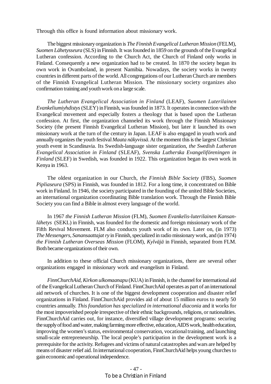Through this office is found information about missionary work.

The biggest missionary organization is *The Finnish Evangelical Lutheran Mission* (FELM), *Suomen Lähetysseura* (SLS) in Finnish. It was founded in 1859 on the grounds of the Evangelical Lutheran confession. According to the Church Act, the Church of Finland only works in Finland. Consequently a new organization had to be created. In 1870 the society began its own work in Ovamboland, in present Namibia. Nowadays, the society works in twenty countries in different parts of the world. All congregations of our Lutheran Church are members of the Finnish Evangelical Lutheran Mission. The missionary society organizes also confirmation training and youth work on a large scale.

*The Lutheran Evangelical Association in Finland* (LEAF), *Suomen Luterilainen Evankeliumiyhdistys* (SLEY) in Finnish, was founded in 1873. It operates in connection with the Evangelical movement and especially fosters a theology that is based upon the Lutheran confession. At first, the organization channeled its work through the Finnish Missionary Society (the present Finnish Evangelical Lutheran Mission), but later it launched its own missionary work at the turn of the century in Japan. LEAF is also engaged in youth work and annually organizes the youth festival *Maata näkyvissä*. At the moment this is the largest Christian youth event in Scandinavia. Its Swedish-language sister organization, *the Swedish Lutheran Evangelical Association in Finland* (SLEAF), *Svenska Lutherska Evangeliföreningen in Finland* (SLEF) in Swedish, was founded in 1922. This organization began its own work in Kenya in 1963.

The oldest organization in our Church, *the Finnish Bible Society* (FBS), *Suomen Pipliaseura* (SPS) in Finnish, was founded in 1812. For a long time, it concentrated on Bible work in Finland. In 1946, the society participated in the founding of the united Bible Societies, an international organization coordinating Bible translation work. Through the Finnish Bible Society you can find a Bible in almost every language of the world.

In 1967 *the Finnish Lutheran Mission* (FLM), *Suomen Evankelis-luterilainen Kansanlähetys* (SEKL) in Finnish, was founded for the domestic and foreign missionary work of the Fifth Revival Movement. FLM also conducts youth work of its own. Later on, (in 1973) *The Messengers*, *Sanansaattajat ry* in Finnish, specialized in radio missionary work, and (in 1974) *the Finnish Lutheran Overseas Mission* (FLOM), *Kylväjä* in Finnish, separated from FLM. Both became organizations of their own.

In addition to these official Church missionary organizations, there are several other organizations engaged in missionary work and evangelism in Finland.

*FinnChurchAid, Kirkon ulkomaanapu* (KUA) in Finnish, is the channel for international aid of the Evangelical Lutheran Church of Finland. FinnChurchAid operates as part of an international aid network of churches. It is one of the biggest development cooperation and disaster relief organizations in Finland. FinnChurchAid provides aid of about 15 million euros to nearly 50 countries annually. *This foundation has specialized in international diaconia* and it works for the most impoverished people irrespective of their ethnic backgrounds, religions, or nationalities. FinnChurchAid carries out, for instance, diversified village development programs: securing the supply of food and water, making farming more effective, education, AIDS work, health education, improving the women's status, environmental conservation, vocational training, and launching small-scale entrepreneurship. The local people's participation in the development work is a prerequisite for the activity. Refugees and victims of natural catastrophes and wars are helped by means of disaster relief aid. In international cooperation, FinnChurchAid helps young churches to gain economic and operational independence.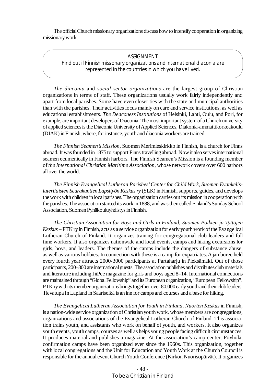The official Church missionary organizations discuss how to intensify cooperation in organizing missionary work.

#### ASSIGNMENT

Find out if Finnish missionary organizations and international diaconia are represented in the countries in which you have lived.

*The diaconia* and *social sector organizations* are the largest group of Christian organizations in terms of staff. These organizations usually work fairly independently and apart from local parishes. Some have even closer ties with the state and municipal authorities than with the parishes. Their activities focus mainly on care and service institutions, as well as educational establishments. *The Deaconess Institutions* of Helsinki, Lahti, Oulu, and Pori, for example, are important developers of Diaconia. The most important system of a Church university of applied sciences is the Diaconia University of Applied Sciences, Diakonia-ammattikorkeakoulu (DIAK) in Finnish, where, for instance, youth and diaconia workers are trained.

*The Finnish Seamen's Mission*, Suomen Merimieskirkko in Finnish, is a church for Finns abroad. It was founded in 1875 to support Finns travelling abroad. Now it also serves international seamen ecumenically in Finnish harbors. The Finnish Seamen's Mission is a founding member of *the International Christian Maritime Association*, whose network covers over 600 harbors all over the world.

*The Finnish Evangelical Lutheran Parishes' Center for Child Work*, *Suomen Evankelisluterilaisten Seurakuntien Lapsityön Keskus ry* (SLK) in Finnish, supports, guides, and develops the work with children in local parishes. The organization carries out its mission in cooperation with the parishes. The association started its work in 1888, and was then called Finland's Sunday School Association, Suomen Pyhäkouluyhdistys in Finnish.

*The Christian Association for Boys and Girls in Finland, Suomen Poikien ja Tyttöjen Keskus* – PTK ry in Finnish, acts as a service organization for early youth work of the Evangelical Lutheran Church of Finland. It organizes training for congregational club leaders and full time workers. It also organizes nationwide and local events, camps and hiking excursions for girls, boys, and leaders. The themes of the camps include the dangers of substance abuse, as well as various hobbies. In connection with these is a camp for expatriates. A jamboree held every fourth year attracts 2000-3000 participants at Partaharju in Pieksämäki. Out of those participants, 200–300 are international guests. The association publishes and distributes club materials and literature including JiiPee magazine for girls and boys aged 8–14. International connections are maintained through "Global Fellowship" and its European organization, "European Fellowship". PTK ry with its member organizations brings together over 80,000 early youth and their club leaders. Tievatupa In Lapland in Saariselkä is an inn for camps and courses and a base for hiking.

*The Evangelical Lutheran Association for Youth in Finland, Nuorten Keskus* in Finnish, is a nation-wide service organization of Christian youth work, whose members are congregations, organizations and associations of the Evangelical Lutheran Church of Finland. This association trains youth, and assistants who work on behalf of youth, and workers. It also organizes youth events, youth camps, courses as well as helps young people facing difficult circumstances. It produces material and publishes a magazine. At the association's camp center, Pöyhölä, confirmation camps have been organized ever since the 1960s. This organization, together with local congregations and the Unit for Education and Youth Work at the Church Council is responsible for the annual event Church Youth Conference (Kirkon Nuorisopäivät). It organizes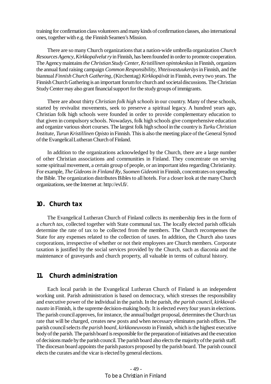training for confirmation class volunteers and many kinds of confirmation classes, also international ones, together with e.g. the Finnish Seamen's Mission.

There are so many Church organizations that a nation-wide umbrella organization *Church Resources Agency*,*Kirkkopalvelut ry* in Finnish, has been founded in order to promote cooperation. The Agency maintains*the Christian Study Center*, *Kristillinen opintokeskus* in Finnish, organizes the annual fund raising campaign *Common Responsibility*, *Yhteisvastuukeräys* in Finnish, and the biannual*Finnish Church Gathering*, (Kirchentag) *Kirkkopäivät* in Finnish, every two years. The Finnish Church Gathering is an important forum for church and societal discussions. The Christian Study Center may also grant financial support for the study groups of immigrants.

There are about thirty *Christian folk high schools* in our country. Many of these schools, started by revivalist movements, seek to preserve a spiritual legacy. A hundred years ago, Christian folk high schools were founded in order to provide complementary education to that given in compulsory schools. Nowadays, folk high schools give comprehensive education and organize various short courses. The largest folk high school in the country is *Turku Christian Institute*, *Turun Kristillinen Opisto* in Finnish. This is also the meeting place of the General Synod of the Evangelical Lutheran Church of Finland.

In addition to the organizations acknowledged by the Church, there are a large number of other Christian associations and communities in Finland. They concentrate on serving some spiritual movement, a certain group of people, or an important idea regarding Christianity. For example, *The Gideons in Finland Ry*, *Suomen Gideonit* in Finnish, concentrates on spreading the Bible. The organization distributes Bibles to all hotels. For a closer look at the many Church organizations, see the Internet at:<http://evl.fi/.>

#### **10. Church tax**

The Evangelical Lutheran Church of Finland collects its membership fees in the form of a *church tax*, collected together with State communal tax. The locally elected parish officials determine the rate of tax to be collected from the members. The Church recompenses the State for any expenses related to the collection of taxes. In addition, the Church also taxes corporations, irrespective of whether or not their employees are Church members. Corporate taxation is justified by the social services provided by the Church, such as diaconia and the maintenance of graveyards and church property, all valuable in terms of cultural history.

# **11. Church administration**

Each local parish in the Evangelical Lutheran Church of Finland is an independent working unit. Parish administration is based on democracy, which stresses the responsibility and executive power of the individual in the parish. In the parish, *the parish council*, *kirkkovaltuusto* in Finnish, is the supreme decision-making body. It is elected every four years in elections. The parish council approves, for instance, the annual budget proposal, determines the Church tax rate that will be charged, creates new posts and when necessary eliminates parish offices. The parish council selects*the parish board*, *kirkkoneuvosto* in Finnish, which is the highest executive body of the parish. The parish board is responsible for the preparation of initiatives and the execution of decisions made by the parish council. The parish board also elects the majority of the parish staff. The diocesan board appoints the parish pastors proposed by the parish board. The parish council elects the curates and the vicar is elected by general elections.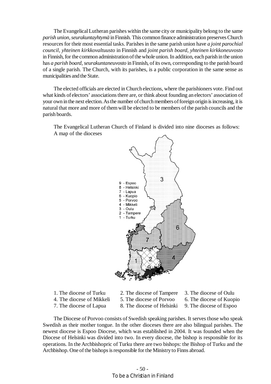The Evangelical Lutheran parishes within the same city or municipality belong to the same *parish union,seurakuntayhtymä* in Finnish. This common finance administration preserves Church resources for their most essential tasks. Parishes in the same parish union have *a joint parochial council*, *yhteinen kirkkovaltuusto* in Finnish and *joint parish board*, *yhteinen kirkkoneuvosto* in Finnish, for the common administration of the whole union. In addition, each parish in the union has *a parish board*,*seurakuntaneuvosto* in Finnish, of its own, corresponding to the parish board of a single parish. The Church, with its parishes, is a public corporation in the same sense as municipalities and the State.

The elected officials are elected in Church elections, where the parishioners vote. Find out what kinds of electors' associations there are, or think about founding an electors' association of your own in the next election. As the number of church members of foreign origin is increasing, it is natural that more and more of them will be elected to be members of the parish councils and the parish boards.

The Evangelical Lutheran Church of Finland is divided into nine dioceses as follows: A map of the dioceses



1. The diocese of Turku 2. The diocese of Tampere 3. The diocese of Oulu

- 
- 

4. The diocese of Mikkeli 5. The diocese of Porvoo 6. The diocese of Kuopio

- 
- 
- 7. The diocese of Lapua 8. The diocese of Helsinki 9. The diocese of Espoo

The Diocese of Porvoo consists of Swedish speaking parishes. It serves those who speak Swedish as their mother tongue. In the other dioceses there are also bilingual parishes. The newest diocese is Espoo Diocese, which was established in 2004. It was founded when the Diocese of Helsinki was divided into two. In every diocese, the bishop is responsible for its operations. In the Archbishopric of Turku there are two bishops: the Bishop of Turku and the Archbishop. One of the bishops is responsible for the Ministry to Finns abroad.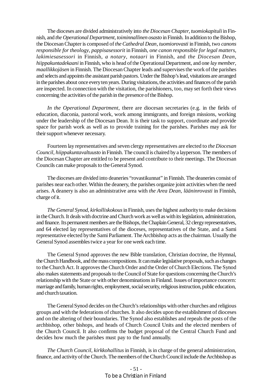The dioceses are divided administratively into *the Diocesan Chapter*, *tuomiokapituli* in Finnish, and *the Operational Department*, *toiminnallinen osasto* in Finnish. In addition to the Bishop, the Diocesan Chapter is composed of*the Cathedral Dean*, *tuomiorovasti* in Finnish, two *canons responsible for theology*, *pappisasessorit* in Finnish, *one canon responsible for legal matters*, *lakimiesasessori* in Finnish, *a notary*, *notaari* in Finnish, and *the Diocesan Dean*, *hiippakuntadekaani* in Finnish, who is head of the Operational Department, and one *lay member*, *maallikkojäsen* in Finnish. The Diocesan Chapter leads and supervises the work of the parishes and selects and appoints the assistant parish pastors. Under the Bishop's lead, visitations are arranged in the parishes about once every ten years. During visitations, the activities and finances of the parish are inspected. In connection with the visitation, the parishioners, too, may set forth their views concerning the activities of the parish in the presence of the Bishop.

*In the Operational Department*, there are diocesan secretaries (e.g. in the fields of education, diaconia, pastoral work, work among immigrants, and foreign missions, working under the leadership of the Diocesan Dean. It is their task to support, coordinate and provide space for parish work as well as to provide training for the parishes. Parishes may ask for their support whenever necessary.

Fourteen lay representatives and seven clergy representatives are elected to *the Diocesan Council*, *hiippakuntavaltuusto* in Finnish. The council is chaired by a layperson. The members of the Diocesan Chapter are entitled to be present and contribute to their meetings. The Diocesan Councils can make proposals to the General Synod.

The dioceses are divided into deaneries "rovastikunnat" in Finnish. The deaneries consist of parishes near each other. Within the deanery, the parishes organize joint activities when the need arises. A deanery is also an administrative area with *the Area Dean*, *lääninrovasti* in Finnish, charge of it.

*The General Synod*, *kirkolliskokous* in Finnish, uses the highest authority to make decisions in the Church. It deals with doctrine and Church work as well as with its legislation, administration, and finance. Its permanent members are the Bishops, the Chaplain General, 32 clergy representatives, and 64 elected lay representatives of the dioceses, representatives of the State, and a Sami representative elected by the Sami Parliament. The Archbishop acts as the chairman. Usually the General Synod assembles twice a year for one week each time.

The General Synod approves the new Bible translation, Christian doctrine, the Hymnal, the Church Handbook, and the mass compositions. It can make legislative proposals, such as changes to the Church Act. It approves the Church Order and the Order of Church Elections. The Synod also makes statements and proposals to the Council of State for questions concerning the Church's relationship with the State or with other denominations in Finland. Issues of importance concern: marriage and family, human rights, employment, social security, religious instruction, public education, and church taxation.

The General Synod decides on the Church's relationships with other churches and religious groups and with the federations of churches. It also decides upon the establishment of dioceses and on the altering of their boundaries. The Synod also establishes and repeals the posts of the archbishop, other bishops, and heads of Church Council Units and the elected members of the Church Council. It also confirms the budget proposal of the Central Church Fund and decides how much the parishes must pay to the fund annually.

*The Church Council*, *kirkkohallitus* in Finnish, is in charge of the general administration, finance, and activity of the Church. The members of the Church Council include the Archbishop as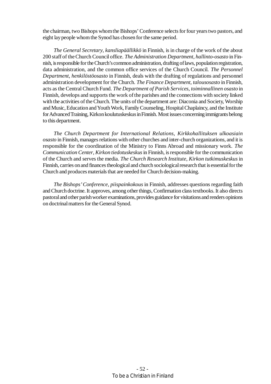the chairman, two Bishops whom the Bishops' Conference selects for four years two pastors, and eight lay people whom the Synod has chosen for the same period.

*The General Secretary*, *kansliapäällikkö* in Finnish, is in charge of the work of the about 200 staff of the Church Council office. *The Administration Department*, *hallinto-osasto* in Finnish, is responsible for the Church's common administration, drafting of laws, population registration, data administration, and the common office services of the Church Council. *The Personnel Department*, *henkilöstöosasto* in Finnish, deals with the drafting of regulations and personnel administration development for the Church. *The Finance Department*, *talousosasto* in Finnish, acts as the Central Church Fund. *The Department of Parish Services*, *toiminnallinen osasto* in Finnish, develops and supports the work of the parishes and the connections with society linked with the activities of the Church. The units of the department are: Diaconia and Society, Worship and Music, Education and Youth Work, Family Counseling, Hospital Chaplaincy, and the Institute for Advanced Training, Kirkon koulutuskeskus in Finnish. Most issues concerning immigrants belong to this department.

*The Church Department for International Relations*, *Kirkkohallituksen ulkoasiain osasto* in Finnish, manages relations with other churches and inter-church organizations, and it is responsible for the coordination of the Ministry to Finns Abroad and missionary work. *The Communication Center*, *Kirkon tiedotuskeskus* in Finnish, is responsible for the communication of the Church and serves the media. *The Church Research Institute*, *Kirkon tutkimuskeskus* in Finnish, carries on and finances theological and church sociological research that is essential for the Church and produces materials that are needed for Church decision-making.

*The Bishops' Conference*, *piispainkokous* in Finnish, addresses questions regarding faith and Church doctrine. It approves, among other things, Confirmation class textbooks. It also directs pastoral and other parish worker examinations, provides guidance for visitations and renders opinions on doctrinal matters for the General Synod.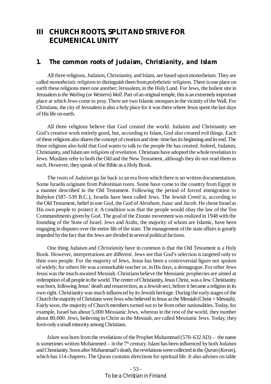# **III CHURCH ROOTS, SPLIT AND STRIVE FOR ECUMENICAL UNITY**

# **1. The common roots of Judaism, Christianity, and Islam**

All three religions, Judaism, Christianity, and Islam, are based upon monotheism. They are called *monotheistic religions* to distinguish them from*polytheistic religions*. There is one place on earth these religions meet one another; Jerusalem, in the Holy Land. For Jews, the holiest site in Jerusalem is*the Wailing* (*or Western*) *Wall*. Part of an original temple, this is an extremely important place at which Jews come to pray. There are two Islamic mosques in the vicinity of the Wall. For Christians, the city of Jerusalem is also a holy place for it was there where Jesus spent the last days of His life on earth.

All three religions believe that God created the world. Judaism and Christianity see God's creative work entirely good, but, according to Islam, God also created evil things. Each of these religions also shares the concept of creation and time: time has its beginning and its end. The three religions also hold that God wants to talk to the people He has created. Indeed, Judaism, Christianity, and Islam are *religions of revelation*. Christians have adopted the whole revelation to Jews. Muslims refer to both the Old and the New Testament, although they do not read them as such. However, they speak of the Bible as a Holy Book.

The roots of *Judaism* go far back to an era from which there is no written documentation. Some Israelis originate from Palestinian roots. Some have come to the country from Egypt in a manner described in the Old Testament. Following the period of forced immigration to Babylon (587–539 B.C.), Israelis have been called Jews. The Jewish Creed is, according to the Old Testament, belief in one God, the God of *Abraham, Isaac* and *Jacob*. He chose Israel as His own people to protect it. A condition was that the people would obay the law of the Ten Commandments given by God. The goal of the Zionist movement was realized in 1948 with the founding of the State of Israel. Jews and Arabs, the majority of whom are Islamic, have been engaging in disputes over the entire life of the state. The management of the state affairs is greatly impeded by the fact that the Jews are divided in several political factions.

One thing Judaism and *Christianity* have in common is that the Old Testament is a Holy Book. However, interpretations are different. Jews see that God's selection is targeted only to their own people. For the majority of Jews, Jesus has been a controversial figure not spoken of widely; for others He was a remarkable teacher or, in His days, a demagogue. For other Jews Jesus was the much-awaited Messiah. Christians believe the Messianic prophecies are aimed at redemption of all people in the world. The center of Christianity, Jesus Christ, was a Jew. Christianity was born, following Jesus' death and resurrection, as a Jewish sect, before it became a religion in its own right. Christianity was much influenced by its Jewish heritage. During the early stages of the Church the majority of Christians were Jews who believed in Jesus as the Messiah (Christ = Messiah). Fairly soon, the majority of Church members turned out to be from other nationalities. Today, for example, Israel has about 5,000 Messianic Jews, whereas in the rest of the world, they number about 80,000. Jews, believing in Christ as the Messiah, are called Messianic Jews. Today, they form only a small minority among Christians.

*Islam* was born from the revelations of the Prophet Muhammad (570–632 AD) – the name is sometimes written Mohammed  $-\text{in the } 7^{\text{th}}$  century. Islam has been influenced by both Judaism and Christianity. Soon after Muhammad's death, the revelations were collected in the*Quran* (*Koran*), which has 114 chapters. The Quran contains directions for spiritual life. It also advises on table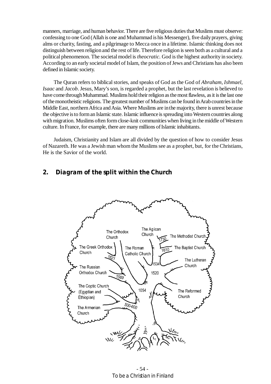manners, marriage, and human behavior. There are five religious duties that Muslims must observe: confessing to one God (Allah is one and Muhammad is his Messenger), five daily prayers, giving alms or charity, fasting, and a pilgrimage to Mecca once in a lifetime. Islamic thinking does not distinguish between religion and the rest of life. Therefore religion is seen both as a cultural and a political phenomenon. The societal model is *theocratic*. God is the highest authority in society. According to an early societal model of Islam, the position of Jews and Christians has also been defined in Islamic society.

The Quran refers to biblical stories, and speaks of God as the God of *Abraham, Ishmael, Isaac* and *Jacob*. Jesus, Mary's son, is regarded a prophet, but the last revelation is believed to have come through Muhammad. Muslims hold their religion as the most flawless, as it is the last one of the monotheistic religions. The greatest number of Muslims can be found in Arab countries in the Middle East, northern Africa and Asia. Where Muslims are in the majority, there is unrest because the objective is to form an Islamic state. Islamic influence is spreading into Western countries along with migration. Muslims often form close-knit communities when living in the middle of Western culture. In France, for example, there are many millions of Islamic inhabitants.

Judaism, Christianity and Islam are all divided by the question of how to consider Jesus of Nazareth. He was a Jewish man whom the Muslims see as a prophet, but, for the Christians, He is the Savior of the world.

# **2. Diagram of the split within the Church**



- 54 - To be a Christian in Finland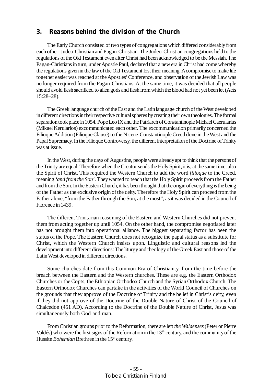### **3. Reasons behind the division of the Church**

The Early Church consisted of two types of congregations which differed considerably from each other: Judeo-Christian and Pagan-Christian. The Judeo-Christian congregations held to the regulations of the Old Testament even after Christ had been acknowledged to be the Messiah. The Pagan-Christians in turn, under Apostle Paul, declared that a new era in Christ had come whereby the regulations given in the law of the Old Testament lost their meaning. A compromise to make life together easier was reached at the Apostles' Conference, and observation of the Jewish Law was no longer required from the Pagan-Christians. At the same time, it was decided that all people should avoid flesh sacrificed to alien gods and flesh from which the blood had not yet been let (Acts 15:28–28).

The Greek language church of the East and the Latin language church of the West developed in different directions in their respective cultural spheres by creating their own theologies. The formal separation took place in 1054. Pope Leo IX and the Patriarch of Constantinople Michael Caerularius (Mikael Kerularios) excommunicated each other. The excommunication primarily concerned the Filioque Addition (Filioque Clause) to the Nicene-Constantinople Creed done in the West and the Papal Supremacy. In the Filioque Controversy, the different interpretation of the Doctrine of Trinity was at issue.

In the West, during the days of Augustine, people were already apt to think that the persons of the Trinity are equal. Therefore when the Creator sends the Holy Spirit, it is, at the same time, also the Spirit of Christ. This required the Western Church to add the word *filioque* to the Creed, meaning *'and from the Son'*. They wanted to teach that the Holy Spirit proceeds from the Father and from the Son. In the Eastern Church, it has been thought that the origin of everything is the being of the Father as the exclusive origin of the deity. Therefore the Holy Spirit can proceed from the Father alone, "from the Father through the Son, at the most", as it was decided in the Council of Florence in 1439.

The different Trinitarian reasoning of the Eastern and Western Churches did not prevent them from acting together up until 1054. On the other hand, the compromise negotiated later has not brought them into operational alliance. The biggest separating factor has been the status of the Pope. The Eastern Church does not recognize the papal status as a substitute for Christ, which the Western Church insists upon. Linguistic and cultural reasons led the development into different directions: The liturgy and theology of the Greek East and those of the Latin West developed in different directions.

Some churches date from this Common Era of Christianity, from the time before the breach between the Eastern and the Western churches. These are e.g. the Eastern Orthodox Churches or the Copts, the Ethiopian Orthodox Church and the Syrian Orthodox Church. The Eastern Orthodox Churches can partake in the activities of the World Council of Churches on the grounds that they approve of the Doctrine of Trinity and the belief in Christ's deity, even if they did not approve of the Doctrine of the Double Nature of Christ of the Council of Chalcedon (451 AD). According to the Doctrine of the Double Nature of Christ, Jesus was simultaneously both God and man.

From Christian groups prior to the Reformation, there are left *the Waldenses* (Peter or Pierre Valdés) who were the first signs of the Reformation in the 13<sup>th</sup> century, and the community of the Hussite *Bohemian* Brethren in the 15<sup>th</sup> century.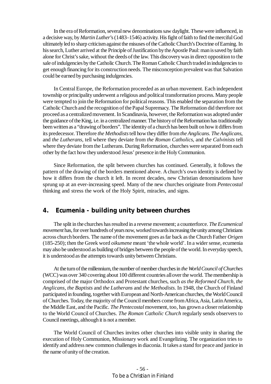In the era of Reformation, several new denominations saw daylight. These were influenced, in a decisive way, by *Martin Luther*'s (1483–1546) activity. His fight of faith to find the merciful God ultimately led to sharp criticism against the misuses of the Catholic Church's Doctrine of Earning. In his search, Luther arrived at the Principle of Justification by the Apostle Paul: man is saved by faith alone for Christ's sake, without the deeds of the law. This discovery was in direct opposition to the sale of indulgencies by the Catholic Church. The Roman Catholic Church traded in indulgencies to get enough financing for its construction needs. The misconception prevalent was that Salvation could be earned by purchasing indulgencies.

In Central Europe, the Reformation proceeded as an urban movement. Each independent township or principality underwent a religious and political transformation process. Many people were tempted to join the Reformation for political reasons. This enabled the separation from the Catholic Church and the recognition of the Papal Supremacy. The Reformation did therefore not proceed as a centralized movement. In Scandinavia, however, the Reformation was adopted under the guidance of the King, i.e. in a centralized manner. The history of the Reformation has traditionally been written as a "drawing of borders". The identity of a church has been built on how it differs from its predecessor. Therefore *the Methodists* tell how they differ from*the Anglicans*. *The Anglicans*, and *the Lutherans*, tell where they deviate from *the Roman Catholics*, and *the Calvinists* tell where they deviate from the Lutherans. During Reformation, churches were separated from each other by the fact how they understood Jesus' presence in the Holy Communion.

Since Reformation, the split between churches has continued. Generally, it follows the pattern of the drawing of the borders mentioned above. A church's own identity is defined by how it differs from the church it left. In recent decades, new Christian denominations have sprung up at an ever-increasing speed. Many of the new churches originate from *Pentecostal* thinking and stress the work of the Holy Spirit, miracles, and signs.

# **4. Ecumenia - building unity between churches**

The split in the churches has resulted in a reverse movement; a counterforce. *The Ecumenical movement* has, for over hundreds of years now, worked towards increasing the unity among Christians across church borders. The name of the movement goes as far back as the Church Father *Origen* (185-250); then the Greek word *oikumene* meant 'the whole world'. In a wider sense, ecumenia may also be understood as building of bridges between the people of the world. In everyday speech, it is understood as the attempts towards unity between Christians.

At the turn of the millennium, the number of member churches in *the World Council of Churches* (WCC) was over 340 covering about 100 different countries all over the world. The membership is comprised of the major Orthodox and Protestant churches, such *as the Reformed Church, the Anglicans, the Baptists* and *the Lutherans* and *the Methodists*. In 1948, the Church of Finland participated in founding, together with European and North-American churches, the World Council of Churches. Today, the majority of the Council members come from Africa, Asia, Latin America, the Middle East, and the Pacific. *The Pentecostal* movement, too, has grown a closer relationship to the World Council of Churches. *The Roman Catholic Church* regularly sends observers to Council meetings, although it is not a member.

The World Council of Churches invites other churches into visible unity in sharing the execution of Holy Communion, Missionary work and Evangelizing. The organization tries to identify and address new common challenges in diaconia. It takes a stand for peace and justice in the name of unity of the creation.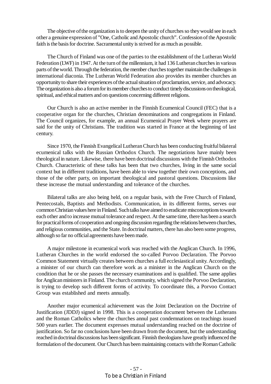The objective of the organization is to deepen the unity of churches so they would see in each other a genuine expression of "One, Catholic and Apostolic church". Confession of the Apostolic faith is the basis for doctrine. Sacramental unity is strived for as much as possible.

The Church of Finland was one of the parties to the establishment of the Lutheran World Federation (LWF) in 1947. At the turn of the millennium, it had 136 Lutheran churches in various parts of the world. Through the federation, the member churches together maintain the challenges in international diaconia. The Lutheran World Federation also provides its member churches an opportunity to share their experiences of the actual situation of proclamation, service, and advocacy. The organization is also a forum for its member churches to conduct timely discussions on theological, spiritual, and ethical matters and on questions concerning different religions.

Our Church is also an active member in the Finnish Ecumenical Council (FEC) that is a cooperative organ for the churches, Christian denominations and congregations in Finland. The Council organizes, for example, an annual Ecumenical Prayer Week where prayers are said for the unity of Christians. The tradition was started in France at the beginning of last century.

Since 1970, the Finnish Evangelical Lutheran Church has been conducting fruitful bilateral ecumenical talks with the Russian Orthodox Church. The negotiations have mainly been theological in nature. Likewise, there have been doctrinal discussions with the Finnish Orthodox Church. Characteristic of these talks has been that two churches, living in the same social context but in different traditions, have been able to view together their own conceptions, and those of the other party, on important theological and pastoral questions. Discussions like these increase the mutual understanding and tolerance of the churches.

Bilateral talks are also being held, on a regular basis, with the Free Church of Finland, Pentecostals, Baptists and Methodists. Communication, in its different forms, serves our common Christian values here in Finland. Such talks have aimed to eradicate misconceptions towards each other and to increase mutual tolerance and respect. At the same time, there has been a search for practical forms of cooperation and ongoing discussion regarding the relations between churches, and religious communities, and the State. In doctrinal matters, there has also been some progress, although so far no official agreements have been made.

A major milestone in ecumenical work was reached with the Anglican Church. In 1996, Lutheran Churches in the world endorsed the so-called Porvoo Declaration. The Porvoo Common Statement virtually creates between churches a full ecclesiastical unity. Accordingly, a minister of our church can therefore work as a minister in the Anglican Church on the condition that he or she passes the necessary examinations and is qualified. The same applies for Anglican ministers in Finland. The church community, which signed the Porvoo Declaration, is trying to develop such different forms of activity. To coordinate this, a Porvoo Contact Group was established and meets annually.

Another major ecumenical achievement was the Joint Declaration on the Doctrine of Justification (JDDJ) signed in 1998. This is a cooperation document between the Lutherans and the Roman Catholics where the churches annul past condemnations on teachings issued 500 years earlier. The document expresses mutual understanding reached on the doctrine of justification. So far no conclusions have been drawn from the document, but the understanding reached in doctrinal discussions has been significant. Finnish theologians have greatly influenced the formulation of the document. Our Church has been maintaining contacts with the Roman Catholic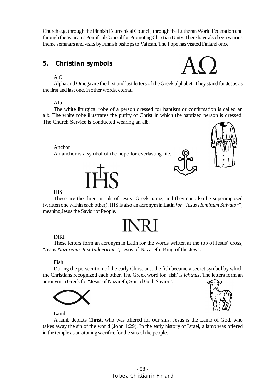Church e.g. through the Finnish Ecumenical Council, through the Lutheran World Federation and through the Vatican's Pontifical Council for Promoting Christian Unity. There have also been various theme seminars and visits by Finnish bishops to Vatican. The Pope has visited Finland once.

## **5. Christian symbols**

#### A O



Alpha and Omega are the first and last letters of the Greek alphabet. They stand for Jesus as the first and last one, in other words, eternal.

#### Alb

The white liturgical robe of a person dressed for baptism or confirmation is called an alb. The white robe illustrates the purity of Christ in which the baptized person is dressed. The Church Service is conducted wearing an alb.

Anchor

An anchor is a symbol of the hope for everlasting life.







#### IHS

These are the three initials of Jesus' Greek name, and they can also be superimposed (written one within each other). IHS is also an acronym in Latin *for "Iesus Hominum Salvator"*, meaning Jesus the Savior of People.

# INRI

#### INRI

These letters form an acronym in Latin for the words written at the top of Jesus' cross, "*Iesus Nazarenus Rex Iudaeorum"*, Jesus of Nazareth, King of the Jews.

#### Fish

During the persecution of the early Christians, the fish became a secret symbol by which the Christians recognized each other. The Greek word for 'fish' is *ichthus*. The letters form an acronym in Greek for "Jesus of Nazareth, Son of God, Savior".





Lamb

A lamb depicts Christ, who was offered for our sins. Jesus is the Lamb of God, who takes away the sin of the world (John 1:29). In the early history of Israel, a lamb was offered in the temple as an atoning sacrifice for the sins of the people.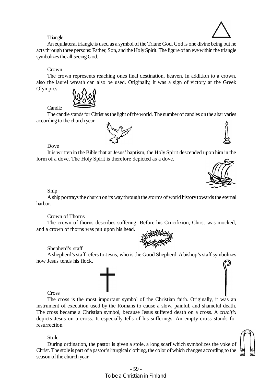#### **Triangle**

An equilateral triangle is used as a symbol of the Triune God. God is one divine being but he acts through three persons: Father, Son, and the Holy Spirit. The figure of an eye within the triangle symbolizes the all-seeing God.

#### Crown

The crown represents reaching ones final destination, heaven. In addition to a crown, also the laurel wreath can also be used. Originally, it was a sign of victory at the Greek Olympics.



Candle

The candle stands for Christ as the light of the world. The number of candles on the altar varies according to the church year.



#### Dove

It is written in the Bible that at Jesus' baptism, the Holy Spirit descended upon him in the form of a dove. The Holy Spirit is therefore depicted as a dove.



Ship

A ship portrays the church on its way through the storms of world history towards the eternal harbor.

#### Crown of Thorns

The crown of thorns describes suffering. Before his Crucifixion, Christ was mocked, and a crown of thorns was put upon his head.



Shepherd's staff

A shepherd's staff refers to Jesus, who is the Good Shepherd. A bishop's staff symbolizes how Jesus tends his flock.

#### Cross

The cross is the most important symbol of the Christian faith. Originally, it was an instrument of execution used by the Romans to cause a slow, painful, and shameful death. The cross became a Christian symbol, because Jesus suffered death on a cross. A *crucifix* depicts Jesus on a cross. It especially tells of his sufferings. An empty cross stands for resurrection.

Stole

During ordination, the pastor is given a stole, a long scarf which symbolizes the yoke of Christ. The stole is part of a pastor's liturgical clothing, the color of which changes according to the season of the church year.

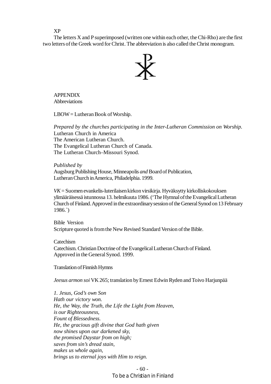XP

The letters X and P superimposed (written one within each other, the Chi-Rho) are the first two letters of the Greek word for Christ. The abbreviation is also called the Christ monogram.



APPENDIX **Abbreviations** 

LBOW = Lutheran Book of Worship.

*Prepared by the churches participating in the Inter-Lutheran Commission on Worship.* Lutheran Church in America The American Lutheran Church. The Evangelical Lutheran Church of Canada. The Lutheran Church–Missouri Synod.

*Published by* Augsburg Publishing House, Minneapolis *and* Board of Publication, Lutheran Church in America, Philadelphia. 1999*.*

*VK* = Suomen evankelis-luterilaisen kirkon virsikirja. Hyväksytty kirkolliskokouksen ylimääräisessä istunnossa 13. helmikuuta 1986. ('The Hymnal of the Evangelical Lutheran Church of Finland. Approved in the extraordinary session of the General Synod on 13 February 1986.`)

Bible Version Scripture quoted is from the New Revised Standard Version of the Bible.

**Catechism** Catechism. Christian Doctrine of the Evangelical Lutheran Church of Finland. Approved in the General Synod. 1999.

Translation of Finnish Hymns

*Jeesus armon soi* VK 265; translation by Ernest Edwin Ryden and Toivo Harjunpää

*1. Jesus, God's own Son Hath our victory won. He, the Way, the Truth, the Life the Light from Heaven, is our Righteousness, Fount of Blessedness. He, the gracious gift divine that God hath given now shines upon our darkened sky, the promised Daystar from on high; saves from sin's dread stain, makes us whole again, brings us to eternal joys with Him to reign.*